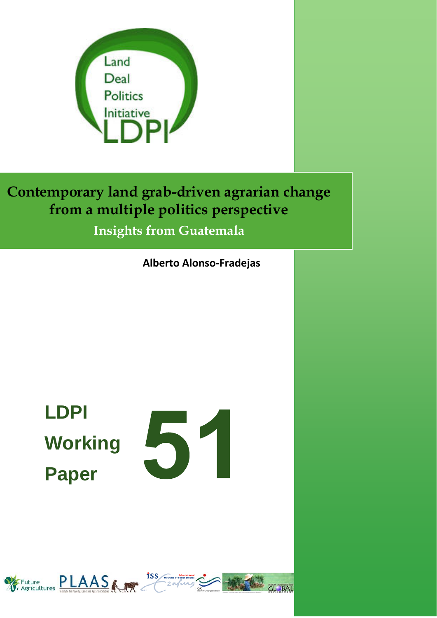

**Contemporary land grab-driven agrarian change from a multiple politics perspective**

**Insights from Guatemala**

**Alberto Alonso‐Fradejas**

**LDPI Working Paper** 



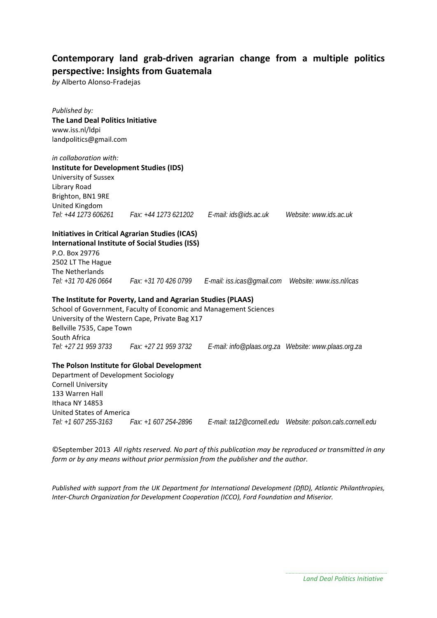## **Contemporary land grab‐driven agrarian change from a multiple politics perspective: Insights from Guatemala**

*by* Alberto Alonso‐Fradejas

| Published by:                                  |                                                                   |                        |
|------------------------------------------------|-------------------------------------------------------------------|------------------------|
| <b>The Land Deal Politics Initiative</b>       |                                                                   |                        |
| www.iss.nl/ldpi                                |                                                                   |                        |
| landpolitics@gmail.com                         |                                                                   |                        |
|                                                |                                                                   |                        |
| in collaboration with:                         |                                                                   |                        |
| <b>Institute for Development Studies (IDS)</b> |                                                                   |                        |
| University of Sussex                           |                                                                   |                        |
| Library Road                                   |                                                                   |                        |
| Brighton, BN1 9RE<br>United Kingdom            |                                                                   |                        |
|                                                | Tel: +44 1273 606261 Fax: +44 1273 621202 E-mail: ids@ids.ac.uk   | Website: www.ids.ac.uk |
|                                                |                                                                   |                        |
|                                                | <b>Initiatives in Critical Agrarian Studies (ICAS)</b>            |                        |
|                                                | <b>International Institute of Social Studies (ISS)</b>            |                        |
| P.O. Box 29776                                 |                                                                   |                        |
| 2502 LT The Hague                              |                                                                   |                        |
| The Netherlands                                |                                                                   |                        |
| Tel: +31 70 426 0664                           | Fax: +31 70 426 0799                                              |                        |
|                                                |                                                                   |                        |
|                                                | The Institute for Poverty, Land and Agrarian Studies (PLAAS)      |                        |
|                                                | School of Government, Faculty of Economic and Management Sciences |                        |
|                                                | University of the Western Cape, Private Bag X17                   |                        |
| Bellville 7535, Cape Town                      |                                                                   |                        |
| South Africa                                   |                                                                   |                        |
|                                                | Tel: +27 21 959 3733   Fax: +27 21 959 3732                       |                        |
|                                                | The Polson Institute for Global Development                       |                        |
| Department of Development Sociology            |                                                                   |                        |
| <b>Cornell University</b>                      |                                                                   |                        |
| 133 Warren Hall                                |                                                                   |                        |
| Ithaca NY 14853                                |                                                                   |                        |
| United States of America                       |                                                                   |                        |
| Tel: +1 607 255-3163                           | Fax: +1 607 254-2896                                              |                        |

©September 2013 *All rights reserved. No part of this publication may be reproduced or transmitted in any form or by any means without prior permission from the publisher and the author.*

*Tel: +1 607 255-3163 Fax: +1 607 254-2896 E-mail: ta12@cornell.edu Website: polson.cals.cornell.edu* 

*Published with support from the UK Department for International Development (DfID), Atlantic Philanthropies, Inter‐Church Organization for Development Cooperation (ICCO), Ford Foundation and Miserior.*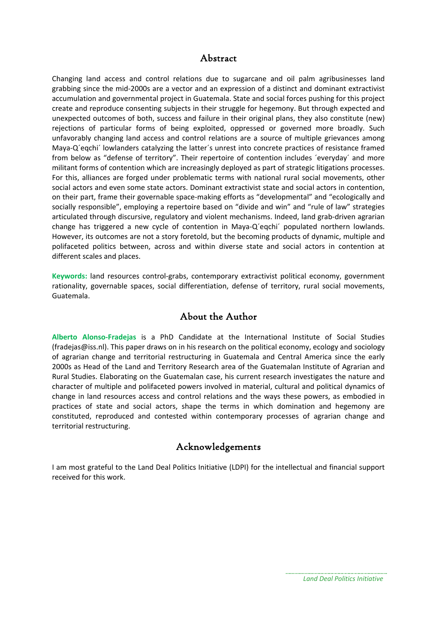### Abstract

Changing land access and control relations due to sugarcane and oil palm agribusinesses land grabbing since the mid‐2000s are a vector and an expression of a distinct and dominant extractivist accumulation and governmental project in Guatemala. State and social forces pushing for this project create and reproduce consenting subjects in their struggle for hegemony. But through expected and unexpected outcomes of both, success and failure in their original plans, they also constitute (new) rejections of particular forms of being exploited, oppressed or governed more broadly. Such unfavorably changing land access and control relations are a source of multiple grievances among Maya-Q'eqchi' lowlanders catalyzing the latter's unrest into concrete practices of resistance framed from below as "defense of territory". Their repertoire of contention includes ´everyday´ and more militant forms of contention which are increasingly deployed as part of strategic litigations processes. For this, alliances are forged under problematic terms with national rural social movements, other social actors and even some state actors. Dominant extractivist state and social actors in contention, on their part, frame their governable space‐making efforts as "developmental" and "ecologically and socially responsible", employing a repertoire based on "divide and win" and "rule of law" strategies articulated through discursive, regulatory and violent mechanisms. Indeed, land grab-driven agrarian change has triggered a new cycle of contention in Maya‐Q´eqchi´ populated northern lowlands. However, its outcomes are not a story foretold, but the becoming products of dynamic, multiple and polifaceted politics between, across and within diverse state and social actors in contention at different scales and places.

**Keywords:** land resources control‐grabs, contemporary extractivist political economy, government rationality, governable spaces, social differentiation, defense of territory, rural social movements, Guatemala.

## About the Author

**Alberto Alonso‐Fradejas** is a PhD Candidate at the International Institute of Social Studies (fradejas@iss.nl). This paper draws on in his research on the political economy, ecology and sociology of agrarian change and territorial restructuring in Guatemala and Central America since the early 2000s as Head of the Land and Territory Research area of the Guatemalan Institute of Agrarian and Rural Studies. Elaborating on the Guatemalan case, his current research investigates the nature and character of multiple and polifaceted powers involved in material, cultural and political dynamics of change in land resources access and control relations and the ways these powers, as embodied in practices of state and social actors, shape the terms in which domination and hegemony are constituted, reproduced and contested within contemporary processes of agrarian change and territorial restructuring.

### Acknowledgements

I am most grateful to the Land Deal Politics Initiative (LDPI) for the intellectual and financial support received for this work.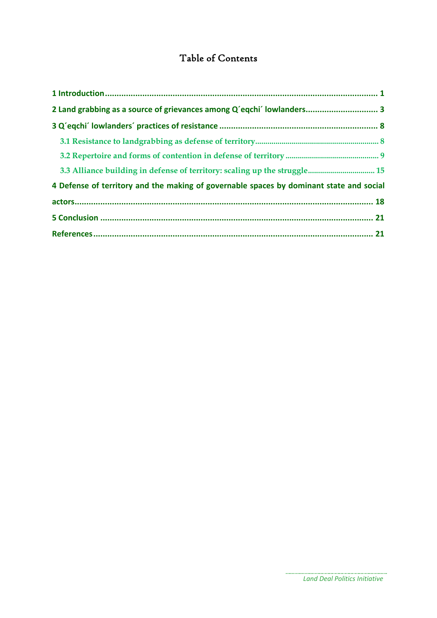# Table of Contents

| 2 Land grabbing as a source of grievances among Q'eqchi' lowlanders 3                   |  |
|-----------------------------------------------------------------------------------------|--|
|                                                                                         |  |
|                                                                                         |  |
|                                                                                         |  |
|                                                                                         |  |
| 4 Defense of territory and the making of governable spaces by dominant state and social |  |
|                                                                                         |  |
|                                                                                         |  |
|                                                                                         |  |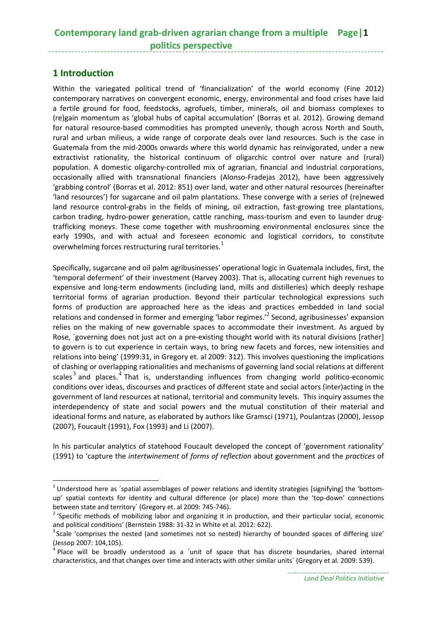## **Contemporary land grab‐driven agrarian change from a multiple Page|1 politics perspective**

### **1 Introduction**

Within the variegated political trend of 'financialization' of the world economy (Fine 2012) contemporary narratives on convergent economic, energy, environmental and food crises have laid a fertile ground for food, feedstocks, agrofuels, timber, minerals, oil and biomass complexes to (re)gain momentum as 'global hubs of capital accumulation' (Borras et al. 2012). Growing demand for natural resource-based commodities has prompted unevenly, though across North and South, rural and urban milieus, a wide range of corporate deals over land resources. Such is the case in Guatemala from the mid‐2000s onwards where this world dynamic has reinvigorated, under a new extractivist rationality, the historical continuum of oligarchic control over nature and (rural) population. A domestic oligarchy‐controlled mix of agrarian, financial and industrial corporations, occasionally allied with transnational financiers (Alonso‐Fradejas 2012), have been aggressively 'grabbing control' (Borras et al. 2012: 851) over land, water and other natural resources (hereinafter 'land resources') for sugarcane and oil palm plantations. These converge with a series of (re)newed land resource control-grabs in the fields of mining, oil extraction, fast-growing tree plantations, carbon trading, hydro-power generation, cattle ranching, mass-tourism and even to launder drugtrafficking moneys. These come together with mushrooming environmental enclosures since the early 1990s, and with actual and foreseen economic and logistical corridors, to constitute overwhelming forces restructuring rural territories.<sup>1</sup>

Specifically, sugarcane and oil palm agribusinesses' operational logic in Guatemala includes, first, the 'temporal deferment' of their investment (Harvey 2003). That is, allocating current high revenues to expensive and long‐term endowments (including land, mills and distilleries) which deeply reshape territorial forms of agrarian production. Beyond their particular technological expressions such forms of production are approached here as the ideas and practices embedded in land social relations and condensed in former and emerging 'labor regimes.<sup> $2$ </sup> Second, agribusinesses' expansion relies on the making of new governable spaces to accommodate their investment. As argued by Rose, 'governing does not just act on a pre-existing thought world with its natural divisions [rather] to govern is to cut experience in certain ways, to bring new facets and forces, new intensities and relations into being' (1999:31, in Gregory et. al 2009: 312). This involves questioning the implications of clashing or overlapping rationalities and mechanisms of governing land social relations at different scales<sup>3</sup> and places.<sup>4</sup> That is, understanding influences from changing world politico-economic conditions over ideas, discourses and practices of different state and social actors (inter)acting in the government of land resources at national, territorial and community levels. This inquiry assumes the interdependency of state and social powers and the mutual constitution of their material and ideational forms and nature, as elaborated by authors like Gramsci (1971), Poulantzas (2000), Jessop (2007), Foucault (1991), Fox (1993) and Li (2007).

In his particular analytics of statehood Foucault developed the concept of 'government rationality' (1991) to 'capture the *intertwinement* of *forms of reflection* about government and the *practices* of

 $1$  Understood here as 'spatial assemblages of power relations and identity strategies [signifying] the 'bottomup' spatial contexts for identity and cultural difference (or place) more than the 'top-down' connections

between state and territory´ (Gregory et. al 2009: 745-746).<br><sup>2</sup> 'Specific methods of mobilizing labor and organizing it in production, and their particular social, economic and political conditions' (Bernstein 1988: 31-32 in White et al. 2012: 622).

<sup>&</sup>lt;sup>3</sup> Scale 'comprises the nested (and sometimes not so nested) hierarchy of bounded spaces of differing size' (Jessop 2007: 104,105).<br><sup>4</sup> Place will be broadly understood as a ´unit of space that has discrete boundaries, shared internal

characteristics, and that changes over time and interacts with other similar units´ (Gregory et al. 2009: 539).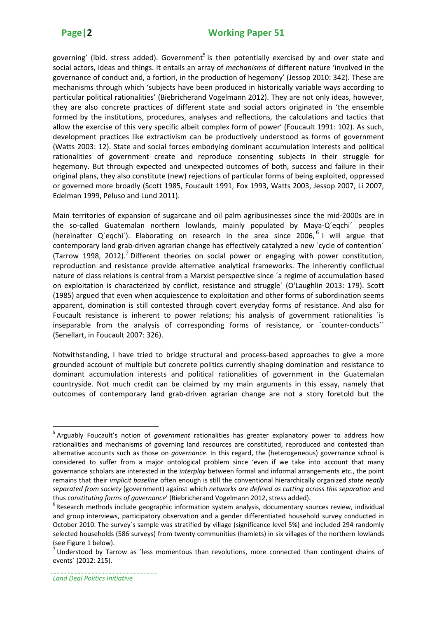governing' (ibid. stress added). Government<sup>5</sup> is then potentially exercised by and over state and social actors, ideas and things. It entails an array of *mechanisms* of different nature 'involved in the governance of conduct and, a fortiori, in the production of hegemony' (Jessop 2010: 342). These are mechanisms through which 'subjects have been produced in historically variable ways according to particular political rationalities' (Biebricherand Vogelmann 2012). They are not only ideas, however, they are also concrete practices of different state and social actors originated in 'the ensemble formed by the institutions, procedures, analyses and reflections, the calculations and tactics that allow the exercise of this very specific albeit complex form of power' (Foucault 1991: 102). As such, development practices like extractivism can be productively understood as forms of government (Watts 2003: 12). State and social forces embodying dominant accumulation interests and political rationalities of government create and reproduce consenting subjects in their struggle for hegemony. But through expected and unexpected outcomes of both, success and failure in their original plans, they also constitute (new) rejections of particular forms of being exploited, oppressed or governed more broadly (Scott 1985, Foucault 1991, Fox 1993, Watts 2003, Jessop 2007, Li 2007, Edelman 1999, Peluso and Lund 2011).

Main territories of expansion of sugarcane and oil palm agribusinesses since the mid‐2000s are in the so-called Guatemalan northern lowlands, mainly populated by Maya-Q'eqchi' peoples (hereinafter  $Q'$ eqchi'). Elaborating on research in the area since 2006,  $6$  I will argue that contemporary land grab‐driven agrarian change has effectively catalyzed a new ´cycle of contention´ (Tarrow 1998, 2012).<sup>7</sup> Different theories on social power or engaging with power constitution, reproduction and resistance provide alternative analytical frameworks. The inherently conflictual nature of class relations is central from a Marxist perspective since ´a regime of accumulation based on exploitation is characterized by conflict, resistance and struggle´ (O'Laughlin 2013: 179). Scott (1985) argued that even when acquiescence to exploitation and other forms of subordination seems apparent, domination is still contested through covert everyday forms of resistance. And also for Foucault resistance is inherent to power relations; his analysis of government rationalities ´is inseparable from the analysis of corresponding forms of resistance, or 'counter-conducts'' (Senellart, in Foucault 2007: 326).

Notwithstanding, I have tried to bridge structural and process-based approaches to give a more grounded account of multiple but concrete politics currently shaping domination and resistance to dominant accumulation interests and political rationalities of government in the Guatemalan countryside. Not much credit can be claimed by my main arguments in this essay, namely that outcomes of contemporary land grab‐driven agrarian change are not a story foretold but the

<sup>5</sup> Arguably Foucault's notion of *government* rationalities has greater explanatory power to address how rationalities and mechanisms of governing land resources are constituted, reproduced and contested than alternative accounts such as those on *governance*. In this regard, the (heterogeneous) governance school is considered to suffer from a major ontological problem since 'even if we take into account that many governance scholars are interested in the *interplay* between formal and informal arrangements etc., the point remains that their *implicit baseline* often enough is still the conventional hierarchically organized *state neatly separated from society* (government) against which *networks are defined as cutting across this separation* and thus *constituting forms of governance*' (Biebricherand Vogelmann 2012, stress added). <sup>6</sup>

 $6$ Research methods include geographic information system analysis, documentary sources review, individual and group interviews, participatory observation and a gender differentiated household survey conducted in October 2010. The survey´s sample was stratified by village (significance level 5%) and included 294 randomly selected households (586 surveys) from twenty communities (hamlets) in six villages of the northern lowlands (see Figure 1 below).<br><sup>7</sup> Understood by Tarrow as ´less momentous than revolutions, more connected than contingent chains of

events´ (2012: 215).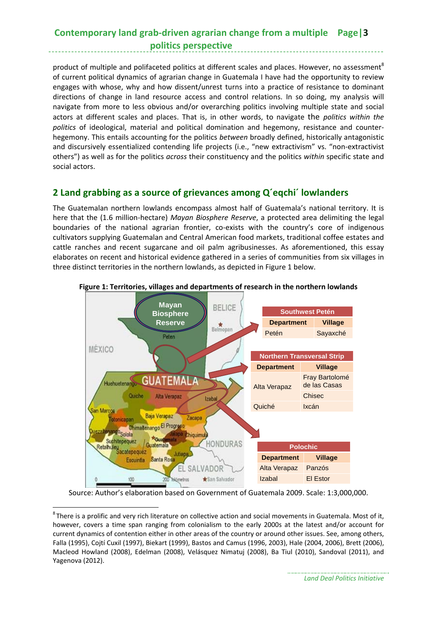## **Contemporary land grab‐driven agrarian change from a multiple Page|3 politics perspective**

product of multiple and polifaceted politics at different scales and places. However, no assessment<sup>8</sup> of current political dynamics of agrarian change in Guatemala I have had the opportunity to review engages with whose, why and how dissent/unrest turns into a practice of resistance to dominant directions of change in land resource access and control relations. In so doing, my analysis will navigate from more to less obvious and/or overarching politics involving multiple state and social actors at different scales and places. That is, in other words, to navigate the *politics within the politics* of ideological, material and political domination and hegemony, resistance and counter‐ hegemony. This entails accounting for the politics *between* broadly defined, historically antagonistic and discursively essentialized contending life projects (i.e., "new extractivism" vs. "non-extractivist others") as well as for the politics *across* their constituency and the politics *within* specific state and social actors.

### **2 Land grabbing as a source of grievances among Q´eqchi´ lowlanders**

The Guatemalan northern lowlands encompass almost half of Guatemala's national territory. It is here that the (1.6 million‐hectare) *Mayan Biosphere Reserve*, a protected area delimiting the legal boundaries of the national agrarian frontier, co-exists with the country's core of indigenous cultivators supplying Guatemalan and Central American food markets, traditional coffee estates and cattle ranches and recent sugarcane and oil palm agribusinesses. As aforementioned, this essay elaborates on recent and historical evidence gathered in a series of communities from six villages in three distinct territories in the northern lowlands, as depicted in Figure 1 below.



#### **Figure 1: Territories, villages and departments of research in the northern lowlands**

Source: Author's elaboration based on Government of Guatemala 2009. Scale: 1:3,000,000.

 ${}^{8}$ There is a prolific and very rich literature on collective action and social movements in Guatemala. Most of it, however, covers a time span ranging from colonialism to the early 2000s at the latest and/or account for current dynamics of contention either in other areas of the country or around other issues. See, among others, Falla (1995), Cojtí Cuxil (1997), Biekart (1999), Bastos and Camus (1996, 2003), Hale (2004, 2006), Brett (2006), Macleod Howland (2008), Edelman (2008), Velásquez Nimatuj (2008), Ba Tiul (2010), Sandoval (2011), and Yagenova (2012).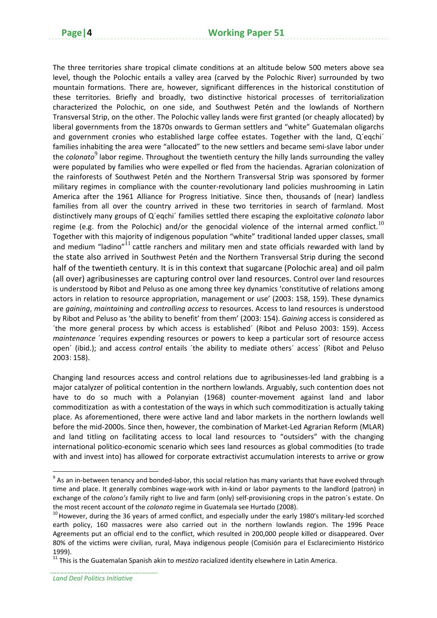The three territories share tropical climate conditions at an altitude below 500 meters above sea level, though the Polochic entails a valley area (carved by the Polochic River) surrounded by two mountain formations. There are, however, significant differences in the historical constitution of these territories. Briefly and broadly, two distinctive historical processes of territorialization characterized the Polochic, on one side, and Southwest Petén and the lowlands of Northern Transversal Strip, on the other. The Polochic valley lands were first granted (or cheaply allocated) by liberal governments from the 1870s onwards to German settlers and "white" Guatemalan oligarchs and government cronies who established large coffee estates. Together with the land, Q'eqchi' families inhabiting the area were "allocated" to the new settlers and became semi-slave labor under the *colonato*<sup>9</sup> labor regime. Throughout the twentieth century the hilly lands surrounding the valley were populated by families who were expelled or fled from the haciendas. Agrarian colonization of the rainforests of Southwest Petén and the Northern Transversal Strip was sponsored by former military regimes in compliance with the counter‐revolutionary land policies mushrooming in Latin America after the 1961 Alliance for Progress Initiative. Since then, thousands of (near) landless families from all over the country arrived in these two territories in search of farmland. Most distinctively many groups of Q´eqchi´ families settled there escaping the exploitative *colonato* labor regime (e.g. from the Polochic) and/or the genocidal violence of the internal armed conflict.<sup>10</sup> Together with this majority of indigenous population "white" traditional landed upper classes, small and medium "ladino" $11$  cattle ranchers and military men and state officials rewarded with land by the state also arrived in Southwest Petén and the Northern Transversal Strip during the second half of the twentieth century. It is in this context that sugarcane (Polochic area) and oil palm (all over) agribusinesses are capturing control over land resources. Control over land resources is understood by Ribot and Peluso as one among three key dynamics 'constitutive of relations among actors in relation to resource appropriation, management or use' (2003: 158, 159). These dynamics are *gaining*, *maintaining* and *controlling access* to resources. Access to land resources is understood by Ribot and Peluso as 'the ability to benefit' from them' (2003: 154). *Gaining* access is considered as ´the more general process by which access is established´ (Ribot and Peluso 2003: 159). Access *maintenance* ´requires expending resources or powers to keep a particular sort of resource access open´ (ibid.); and access *control* entails ´the ability to mediate others´ access´ (Ribot and Peluso 2003: 158).

Changing land resources access and control relations due to agribusinesses‐led land grabbing is a major catalyzer of political contention in the northern lowlands. Arguably, such contention does not have to do so much with a Polanyian (1968) counter-movement against land and labor commoditization as with a contestation of the ways in which such commoditization is actually taking place. As aforementioned, there were active land and labor markets in the northern lowlands well before the mid-2000s. Since then, however, the combination of Market-Led Agrarian Reform (MLAR) and land titling on facilitating access to local land resources to "outsiders" with the changing international politico‐economic scenario which sees land resources as global commodities (to trade with and invest into) has allowed for corporate extractivist accumulation interests to arrive or grow

*Land Deal Politics Initiative*

 $^9$  As an in-between tenancy and bonded-labor, this social relation has many variants that have evolved through time and place. It generally combines wage-work with in-kind or labor payments to the landlord (patron) in exchange of the *colono's* family right to live and farm (only) self-provisioning crops in the patron's estate. On

the most recent account of the *colonato* regime in Guatemala see Hurtado (2008).<br><sup>10</sup> However, during the 36 years of armed conflict, and especially under the early 1980's military-led scorched earth policy, 160 massacres were also carried out in the northern lowlands region. The 1996 Peace Agreements put an official end to the conflict, which resulted in 200,000 people killed or disappeared. Over 80% of the victims were civilian, rural, Maya indigenous people (Comisión para el Esclarecimiento Histórico 1999).

<sup>11</sup> This is the Guatemalan Spanish akin to *mestizo* racialized identity elsewhere in Latin America.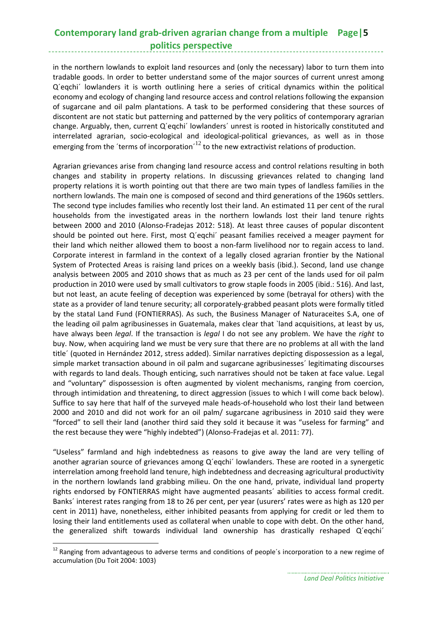## **Contemporary land grab‐driven agrarian change from a multiple Page|5 politics perspective**

in the northern lowlands to exploit land resources and (only the necessary) labor to turn them into tradable goods. In order to better understand some of the major sources of current unrest among Q´eqchi´ lowlanders it is worth outlining here a series of critical dynamics within the political economy and ecology of changing land resource access and control relations following the expansion of sugarcane and oil palm plantations. A task to be performed considering that these sources of discontent are not static but patterning and patterned by the very politics of contemporary agrarian change. Arguably, then, current Q´eqchi´ lowlanders´ unrest is rooted in historically constituted and interrelated agrarian, socio‐ecological and ideological‐political grievances, as well as in those emerging from the 'terms of incorporation'<sup>12</sup> to the new extractivist relations of production.

Agrarian grievances arise from changing land resource access and control relations resulting in both changes and stability in property relations. In discussing grievances related to changing land property relations it is worth pointing out that there are two main types of landless families in the northern lowlands. The main one is composed of second and third generations of the 1960s settlers. The second type includes families who recently lost their land. An estimated 11 per cent of the rural households from the investigated areas in the northern lowlands lost their land tenure rights between 2000 and 2010 (Alonso‐Fradejas 2012: 518). At least three causes of popular discontent should be pointed out here. First, most Q´eqchi´ peasant families received a meager payment for their land which neither allowed them to boost a non-farm livelihood nor to regain access to land. Corporate interest in farmland in the context of a legally closed agrarian frontier by the National System of Protected Areas is raising land prices on a weekly basis (ibid.). Second, land use change analysis between 2005 and 2010 shows that as much as 23 per cent of the lands used for oil palm production in 2010 were used by small cultivators to grow staple foods in 2005 (ibid.: 516). And last, but not least, an acute feeling of deception was experienced by some (betrayal for others) with the state as a provider of land tenure security; all corporately‐grabbed peasant plots were formally titled by the statal Land Fund (FONTIERRAS). As such, the Business Manager of Naturaceites S.A, one of the leading oil palm agribusinesses in Guatemala, makes clear that `land acquisitions, at least by us, have always been *legal*. If the transaction is *legal* I do not see any problem. We have the *right* to buy. Now, when acquiring land we must be very sure that there are no problems at all with the land title´ (quoted in Hernández 2012, stress added). Similar narratives depicting dispossession as a legal, simple market transaction abound in oil palm and sugarcane agribusinesses´ legitimating discourses with regards to land deals. Though enticing, such narratives should not be taken at face value. Legal and "voluntary" dispossession is often augmented by violent mechanisms, ranging from coercion, through intimidation and threatening, to direct aggression (issues to which I will come back below). Suffice to say here that half of the surveyed male heads‐of‐household who lost their land between 2000 and 2010 and did not work for an oil palm/ sugarcane agribusiness in 2010 said they were "forced" to sell their land (another third said they sold it because it was "useless for farming" and the rest because they were "highly indebted") (Alonso‐Fradejas et al. 2011: 77).

"Useless" farmland and high indebtedness as reasons to give away the land are very telling of another agrarian source of grievances among Q´eqchi´ lowlanders. These are rooted in a synergetic interrelation among freehold land tenure, high indebtedness and decreasing agricultural productivity in the northern lowlands land grabbing milieu. On the one hand, private, individual land property rights endorsed by FONTIERRAS might have augmented peasants´ abilities to access formal credit. Banks´ interest rates ranging from 18 to 26 per cent, per year (usurers' rates were as high as 120 per cent in 2011) have, nonetheless, either inhibited peasants from applying for credit or led them to losing their land entitlements used as collateral when unable to cope with debt. On the other hand, the generalized shift towards individual land ownership has drastically reshaped Q´eqchi´

<sup>&</sup>lt;sup>12</sup> Ranging from advantageous to adverse terms and conditions of people's incorporation to a new regime of accumulation (Du Toit 2004: 1003)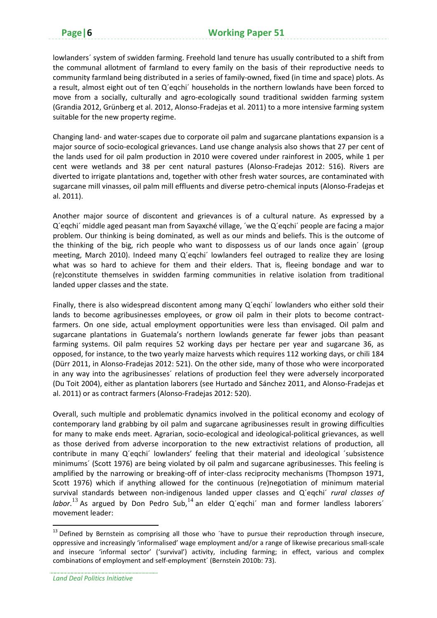lowlanders´ system of swidden farming. Freehold land tenure has usually contributed to a shift from the communal allotment of farmland to every family on the basis of their reproductive needs to community farmland being distributed in a series of family‐owned, fixed (in time and space) plots. As a result, almost eight out of ten Q´eqchi´ households in the northern lowlands have been forced to move from a socially, culturally and agro-ecologically sound traditional swidden farming system (Grandia 2012, Grünberg et al. 2012, Alonso‐Fradejas et al. 2011) to a more intensive farming system suitable for the new property regime.

Changing land‐ and water‐scapes due to corporate oil palm and sugarcane plantations expansion is a major source of socio‐ecological grievances. Land use change analysis also shows that 27 per cent of the lands used for oil palm production in 2010 were covered under rainforest in 2005, while 1 per cent were wetlands and 38 per cent natural pastures (Alonso-Fradejas 2012: 516). Rivers are diverted to irrigate plantations and, together with other fresh water sources, are contaminated with sugarcane mill vinasses, oil palm mill effluents and diverse petro-chemical inputs (Alonso-Fradejas et al. 2011).

Another major source of discontent and grievances is of a cultural nature. As expressed by a Q´eqchi´ middle aged peasant man from Sayaxché village, ´we the Q´eqchi´ people are facing a major problem. Our thinking is being dominated, as well as our minds and beliefs. This is the outcome of the thinking of the big, rich people who want to dispossess us of our lands once again´ (group meeting, March 2010). Indeed many Q´eqchi´ lowlanders feel outraged to realize they are losing what was so hard to achieve for them and their elders. That is, fleeing bondage and war to (re)constitute themselves in swidden farming communities in relative isolation from traditional landed upper classes and the state.

Finally, there is also widespread discontent among many Q´eqchi´ lowlanders who either sold their lands to become agribusinesses employees, or grow oil palm in their plots to become contractfarmers. On one side, actual employment opportunities were less than envisaged. Oil palm and sugarcane plantations in Guatemala's northern lowlands generate far fewer jobs than peasant farming systems. Oil palm requires 52 working days per hectare per year and sugarcane 36, as opposed, for instance, to the two yearly maize harvests which requires 112 working days, or chili 184 (Dürr 2011, in Alonso‐Fradejas 2012: 521). On the other side, many of those who were incorporated in any way into the agribusinesses´ relations of production feel they were adversely incorporated (Du Toit 2004), either as plantation laborers (see Hurtado and Sánchez 2011, and Alonso‐Fradejas et al. 2011) or as contract farmers (Alonso‐Fradejas 2012: 520).

Overall, such multiple and problematic dynamics involved in the political economy and ecology of contemporary land grabbing by oil palm and sugarcane agribusinesses result in growing difficulties for many to make ends meet. Agrarian, socio‐ecological and ideological‐political grievances, as well as those derived from adverse incorporation to the new extractivist relations of production, all contribute in many Q´eqchi´ lowlanders' feeling that their material and ideological ´subsistence minimums´ (Scott 1976) are being violated by oil palm and sugarcane agribusinesses. This feeling is amplified by the narrowing or breaking‐off of inter‐class reciprocity mechanisms (Thompson 1971, Scott 1976) which if anything allowed for the continuous (re)negotiation of minimum material survival standards between non‐indigenous landed upper classes and Q´eqchi´ *rural classes of* labor.<sup>13</sup> As argued by Don Pedro Sub,<sup>14</sup> an elder Q'eqchi' man and former landless laborers' movement leader:

 $13$  Defined by Bernstein as comprising all those who 'have to pursue their reproduction through insecure, oppressive and increasingly 'informalised' wage employment and/or a range of likewise precarious small‐scale and insecure 'informal sector' ('survival') activity, including farming; in effect, various and complex combinations of employment and self‐employment´ (Bernstein 2010b: 73).

*Land Deal Politics Initiative*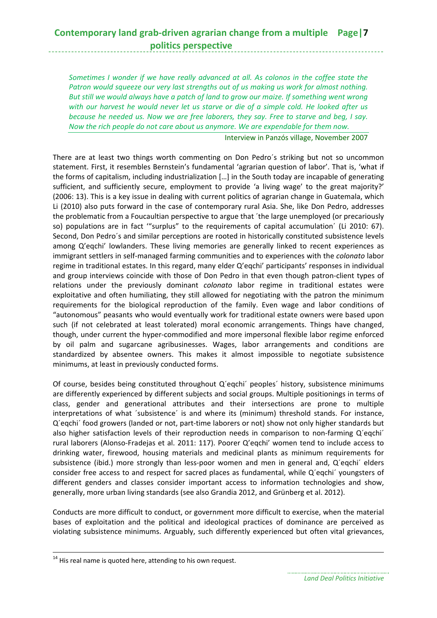*Sometimes I wonder if we have really advanced at all. As colonos in the coffee state the Patron would squeeze our very last strengths out of us making us work for almost nothing. But still we would always have a patch of land to grow our maize. If something went wrong with our harvest he would never let us starve or die of a simple cold. He looked after us because he needed us. Now we are free laborers, they say. Free to starve and beg, I say. Now the rich people do not care about us anymore. We are expendable for them now.*

Interview in Panzós village, November 2007

There are at least two things worth commenting on Don Pedro´s striking but not so uncommon statement. First, it resembles Bernstein's fundamental 'agrarian question of labor'. That is, 'what if the forms of capitalism, including industrialization […] in the South today are incapable of generating sufficient, and sufficiently secure, employment to provide 'a living wage' to the great majority?' (2006: 13). This is a key issue in dealing with current politics of agrarian change in Guatemala, which Li (2010) also puts forward in the case of contemporary rural Asia. She, like Don Pedro, addresses the problematic from a Foucaultian perspective to argue that ´the large unemployed (or precariously so) populations are in fact '"surplus" to the requirements of capital accumulation´ (Li 2010: 67). Second, Don Pedro´s and similar perceptions are rooted in historically constituted subsistence levels among Q'eqchi' lowlanders. These living memories are generally linked to recent experiences as immigrant settlers in self‐managed farming communities and to experiences with the *colonato* labor regime in traditional estates. In this regard, many elder Q'eqchi' participants' responses in individual and group interviews coincide with those of Don Pedro in that even though patron-client types of relations under the previously dominant *colonato* labor regime in traditional estates were exploitative and often humiliating, they still allowed for negotiating with the patron the minimum requirements for the biological reproduction of the family. Even wage and labor conditions of "autonomous" peasants who would eventually work for traditional estate owners were based upon such (if not celebrated at least tolerated) moral economic arrangements. Things have changed, though, under current the hyper‐commodified and more impersonal flexible labor regime enforced by oil palm and sugarcane agribusinesses. Wages, labor arrangements and conditions are standardized by absentee owners. This makes it almost impossible to negotiate subsistence minimums, at least in previously conducted forms.

Of course, besides being constituted throughout Q´eqchi´ peoples´ history, subsistence minimums are differently experienced by different subjects and social groups. Multiple positionings in terms of class, gender and generational attributes and their intersections are prone to multiple interpretations of what ´subsistence´ is and where its (minimum) threshold stands. For instance, Q´eqchi´ food growers (landed or not, part‐time laborers or not) show not only higher standards but also higher satisfaction levels of their reproduction needs in comparison to non-farming Q'eqchi' rural laborers (Alonso‐Fradejas et al. 2011: 117). Poorer Q'eqchi' women tend to include access to drinking water, firewood, housing materials and medicinal plants as minimum requirements for subsistence (ibid.) more strongly than less-poor women and men in general and, Q'eqchi' elders consider free access to and respect for sacred places as fundamental, while Q´eqchi´ youngsters of different genders and classes consider important access to information technologies and show, generally, more urban living standards (see also Grandia 2012, and Grünberg et al. 2012).

Conducts are more difficult to conduct, or government more difficult to exercise, when the material bases of exploitation and the political and ideological practices of dominance are perceived as violating subsistence minimums. Arguably, such differently experienced but often vital grievances,

 $14$  His real name is quoted here, attending to his own request.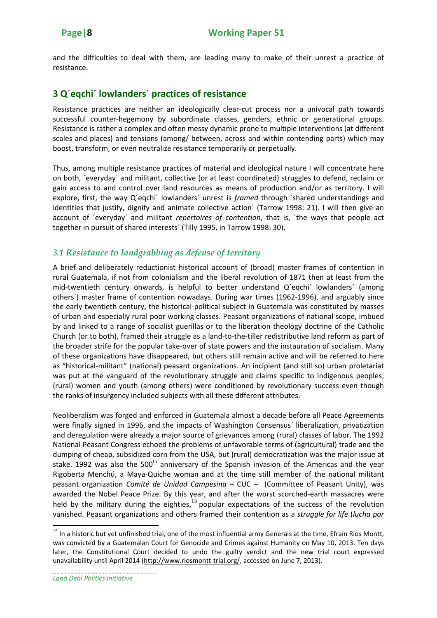and the difficulties to deal with them, are leading many to make of their unrest a practice of resistance.

### **3 Q´eqchi´ lowlanders´ practices of resistance**

Resistance practices are neither an ideologically clear-cut process nor a univocal path towards successful counter‐hegemony by subordinate classes, genders, ethnic or generational groups. Resistance is rather a complex and often messy dynamic prone to multiple interventions (at different scales and places) and tensions (among/ between, across and within contending parts) which may boost, transform, or even neutralize resistance temporarily or perpetually.

Thus, among multiple resistance practices of material and ideological nature I will concentrate here on both, ´everyday´ and militant, collective (or at least coordinated) struggles to defend, reclaim or gain access to and control over land resources as means of production and/or as territory. I will explore, first, the way Q´eqchi´ lowlanders´ unrest is *framed* through ´shared understandings and identities that justify, dignify and animate collective action` (Tarrow 1998: 21). I will then give an account of ´everyday´ and militant *repertoires of contention*, that is, ´the ways that people act together in pursuit of shared interests´ (Tilly 1995, in Tarrow 1998: 30).

### *3.1 Resistance to landgrabbing as defense of territory*

A brief and deliberately reductionist historical account of (broad) master frames of contention in rural Guatemala, if not from colonialism and the liberal revolution of 1871 then at least from the mid-twentieth century onwards, is helpful to better understand Q'eqchi' lowlanders' (among others') master frame of contention nowadays. During war times (1962-1996), and arguably since the early twentieth century, the historical‐political subject in Guatemala was constituted by masses of urban and especially rural poor working classes. Peasant organizations of national scope, imbued by and linked to a range of socialist guerillas or to the liberation theology doctrine of the Catholic Church (or to both), framed their struggle as a land‐to‐the‐tiller redistributive land reform as part of the broader strife for the popular take‐over of state powers and the instauration of socialism. Many of these organizations have disappeared, but others still remain active and will be referred to here as "historical‐militant" (national) peasant organizations. An incipient (and still so) urban proletariat was put at the vanguard of the revolutionary struggle and claims specific to indigenous peoples, (rural) women and youth (among others) were conditioned by revolutionary success even though the ranks of insurgency included subjects with all these different attributes.

Neoliberalism was forged and enforced in Guatemala almost a decade before all Peace Agreements were finally signed in 1996, and the impacts of Washington Consensus´ liberalization, privatization and deregulation were already a major source of grievances among (rural) classes of labor. The 1992 National Peasant Congress echoed the problems of unfavorable terms of (agricultural) trade and the dumping of cheap, subsidized corn from the USA, but (rural) democratization was the major issue at stake. 1992 was also the 500<sup>th</sup> anniversary of the Spanish invasion of the Americas and the year Rigoberta Menchú, a Maya‐Quiche woman and at the time still member of the national militant peasant organization *Comité de Unidad Campesina* – CUC – (Committee of Peasant Unity), was awarded the Nobel Peace Prize. By this year, and after the worst scorched-earth massacres were held by the military during the eighties, $15$  popular expectations of the success of the revolution vanished. Peasant organizations and others framed their contention as a *struggle for life* (*lucha por*

 $15$  In a historic but yet unfinished trial, one of the most influential army Generals at the time, Efraín Rios Montt, was convicted by a Guatemalan Court for Genocide and Crimes against Humanity on May 10, 2013. Ten days later, the Constitutional Court decided to undo the guilty verdict and the new trial court expressed unavailability until April 2014 (http://www.riosmontt‐trial.org/, accessed on June 7, 2013).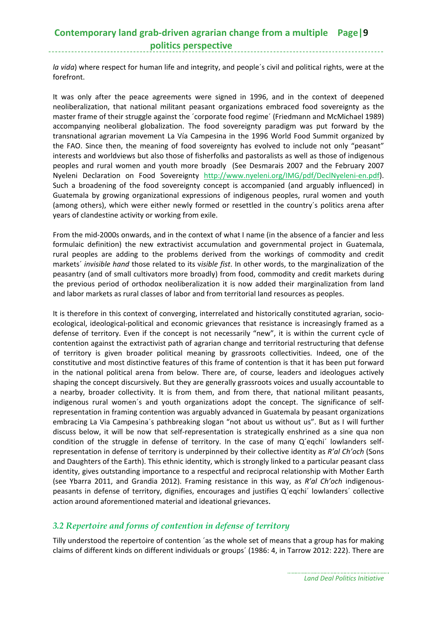## **Contemporary land grab‐driven agrarian change from a multiple Page|9 politics perspective**

*la vida*) where respect for human life and integrity, and people´s civil and political rights, were at the forefront.

It was only after the peace agreements were signed in 1996, and in the context of deepened neoliberalization, that national militant peasant organizations embraced food sovereignty as the master frame of their struggle against the ´corporate food regime´ (Friedmann and McMichael 1989) accompanying neoliberal globalization. The food sovereignty paradigm was put forward by the transnational agrarian movement La Vía Campesina in the 1996 World Food Summit organized by the FAO. Since then, the meaning of food sovereignty has evolved to include not only "peasant" interests and worldviews but also those of fisherfolks and pastoralists as well as those of indigenous peoples and rural women and youth more broadly (See Desmarais 2007 and the February 2007 Nyeleni Declaration on Food Sovereignty http://www.nyeleni.org/IMG/pdf/DeclNyeleni‐en.pdf). Such a broadening of the food sovereignty concept is accompanied (and arguably influenced) in Guatemala by growing organizational expressions of indigenous peoples, rural women and youth (among others), which were either newly formed or resettled in the country´s politics arena after years of clandestine activity or working from exile.

From the mid-2000s onwards, and in the context of what I name (in the absence of a fancier and less formulaic definition) the new extractivist accumulation and governmental project in Guatemala, rural peoples are adding to the problems derived from the workings of commodity and credit markets´ *invisible hand* those related to its v*isible fist*. In other words, to the marginalization of the peasantry (and of small cultivators more broadly) from food, commodity and credit markets during the previous period of orthodox neoliberalization it is now added their marginalization from land and labor markets as rural classes of labor and from territorial land resources as peoples.

It is therefore in this context of converging, interrelated and historically constituted agrarian, socioecological, ideological‐political and economic grievances that resistance is increasingly framed as a defense of territory. Even if the concept is not necessarily "new", it is within the current cycle of contention against the extractivist path of agrarian change and territorial restructuring that defense of territory is given broader political meaning by grassroots collectivities. Indeed, one of the constitutive and most distinctive features of this frame of contention is that it has been put forward in the national political arena from below. There are, of course, leaders and ideologues actively shaping the concept discursively. But they are generally grassroots voices and usually accountable to a nearby, broader collectivity. It is from them, and from there, that national militant peasants, indigenous rural women´s and youth organizations adopt the concept. The significance of self‐ representation in framing contention was arguably advanced in Guatemala by peasant organizations embracing La Via Campesina´s pathbreaking slogan "not about us without us". But as I will further discuss below, it will be now that self-representation is strategically enshrined as a sine qua non condition of the struggle in defense of territory. In the case of many Q'eqchi' lowlanders selfrepresentation in defense of territory is underpinned by their collective identity as *R'al Ch'och* (Sons and Daughters of the Earth). This ethnic identity, which is strongly linked to a particular peasant class identity, gives outstanding importance to a respectful and reciprocal relationship with Mother Earth (see Ybarra 2011, and Grandia 2012). Framing resistance in this way, as *R'al Ch'och* indigenous‐ peasants in defense of territory, dignifies, encourages and justifies Q´eqchi´ lowlanders´ collective action around aforementioned material and ideational grievances.

### *3.2 Repertoire and forms of contention in defense of territory*

Tilly understood the repertoire of contention ´as the whole set of means that a group has for making claims of different kinds on different individuals or groups´ (1986: 4, in Tarrow 2012: 222). There are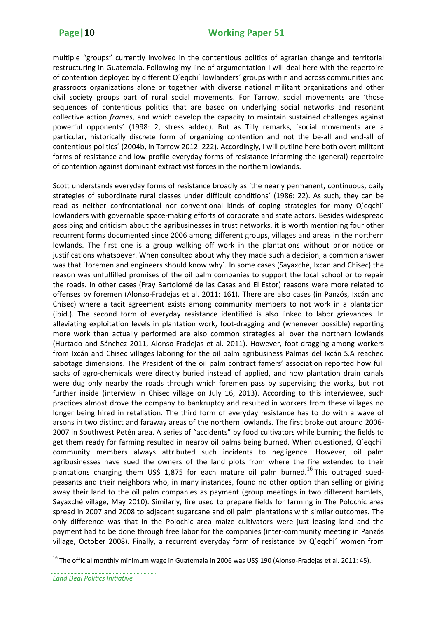multiple "groups" currently involved in the contentious politics of agrarian change and territorial restructuring in Guatemala. Following my line of argumentation I will deal here with the repertoire of contention deployed by different Q´eqchi´ lowlanders´ groups within and across communities and grassroots organizations alone or together with diverse national militant organizations and other civil society groups part of rural social movements. For Tarrow, social movements are 'those sequences of contentious politics that are based on underlying social networks and resonant collective action *frames*, and which develop the capacity to maintain sustained challenges against powerful opponents' (1998: 2, stress added). But as Tilly remarks, ´social movements are a particular, historically discrete form of organizing contention and not the be-all and end-all of contentious politics´ (2004b, in Tarrow 2012: 222). Accordingly, I will outline here both overt militant forms of resistance and low‐profile everyday forms of resistance informing the (general) repertoire of contention against dominant extractivist forces in the northern lowlands.

Scott understands everyday forms of resistance broadly as 'the nearly permanent, continuous, daily strategies of subordinate rural classes under difficult conditions´ (1986: 22). As such, they can be read as neither confrontational nor conventional kinds of coping strategies for many Q'eqchi' lowlanders with governable space‐making efforts of corporate and state actors. Besides widespread gossiping and criticism about the agribusinesses in trust networks, it is worth mentioning four other recurrent forms documented since 2006 among different groups, villages and areas in the northern lowlands. The first one is a group walking off work in the plantations without prior notice or justifications whatsoever. When consulted about why they made such a decision, a common answer was that ´foremen and engineers should know why´. In some cases (Sayaxché, Ixcán and Chisec) the reason was unfulfilled promises of the oil palm companies to support the local school or to repair the roads. In other cases (Fray Bartolomé de las Casas and El Estor) reasons were more related to offenses by foremen (Alonso‐Fradejas et al. 2011: 161). There are also cases (in Panzós, Ixcán and Chisec) where a tacit agreement exists among community members to not work in a plantation (ibid.). The second form of everyday resistance identified is also linked to labor grievances. In alleviating exploitation levels in plantation work, foot-dragging and (whenever possible) reporting more work than actually performed are also common strategies all over the northern lowlands (Hurtado and Sánchez 2011, Alonso‐Fradejas et al. 2011). However, foot‐dragging among workers from Ixcán and Chisec villages laboring for the oil palm agribusiness Palmas del Ixcán S.A reached sabotage dimensions. The President of the oil palm contract famers' association reported how full sacks of agro-chemicals were directly buried instead of applied, and how plantation drain canals were dug only nearby the roads through which foremen pass by supervising the works, but not further inside (interview in Chisec village on July 16, 2013). According to this interviewee, such practices almost drove the company to bankruptcy and resulted in workers from these villages no longer being hired in retaliation. The third form of everyday resistance has to do with a wave of arsons in two distinct and faraway areas of the northern lowlands. The first broke out around 2006‐ 2007 in Southwest Petén area. A series of "accidents" by food cultivators while burning the fields to get them ready for farming resulted in nearby oil palms being burned. When questioned, Q´eqchi´ community members always attributed such incidents to negligence. However, oil palm agribusinesses have sued the owners of the land plots from where the fire extended to their plantations charging them US\$ 1,875 for each mature oil palm burned.<sup>16</sup> This outraged suedpeasants and their neighbors who, in many instances, found no other option than selling or giving away their land to the oil palm companies as payment (group meetings in two different hamlets, Sayaxché village, May 2010). Similarly, fire used to prepare fields for farming in The Polochic area spread in 2007 and 2008 to adjacent sugarcane and oil palm plantations with similar outcomes. The only difference was that in the Polochic area maize cultivators were just leasing land and the payment had to be done through free labor for the companies (inter‐community meeting in Panzós village, October 2008). Finally, a recurrent everyday form of resistance by Q´eqchi´ women from

<sup>&</sup>lt;sup>16</sup> The official monthly minimum wage in Guatemala in 2006 was US\$ 190 (Alonso-Fradejas et al. 2011: 45).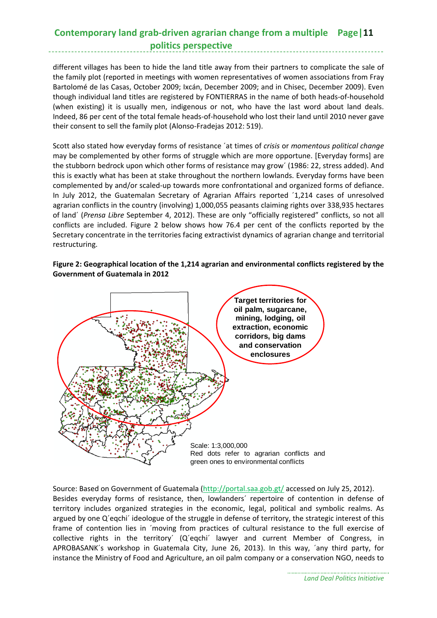## **Contemporary land grab‐driven agrarian change from a multiple Page|11 politics perspective**

different villages has been to hide the land title away from their partners to complicate the sale of the family plot (reported in meetings with women representatives of women associations from Fray Bartolomé de las Casas, October 2009; Ixcán, December 2009; and in Chisec, December 2009). Even though individual land titles are registered by FONTIERRAS in the name of both heads‐of‐household (when existing) it is usually men, indigenous or not, who have the last word about land deals. Indeed, 86 per cent of the total female heads‐of‐household who lost their land until 2010 never gave their consent to sell the family plot (Alonso‐Fradejas 2012: 519).

Scott also stated how everyday forms of resistance ´at times of *crisis* or *momentous political change* may be complemented by other forms of struggle which are more opportune. [Everyday forms] are the stubborn bedrock upon which other forms of resistance may grow´ (1986: 22, stress added). And this is exactly what has been at stake throughout the northern lowlands. Everyday forms have been complemented by and/or scaled‐up towards more confrontational and organized forms of defiance. In July 2012, the Guatemalan Secretary of Agrarian Affairs reported ´1,214 cases of unresolved agrarian conflicts in the country (involving) 1,000,055 peasants claiming rights over 338,935 hectares of land´ (*Prensa Libre* September 4, 2012). These are only "officially registered" conflicts, so not all conflicts are included. Figure 2 below shows how 76.4 per cent of the conflicts reported by the Secretary concentrate in the territories facing extractivist dynamics of agrarian change and territorial restructuring.

**Figure 2: Geographical location of the 1,214 agrarian and environmental conflicts registered by the Government of Guatemala in 2012**



Source: Based on Government of Guatemala (http://portal.saa.gob.gt/ accessed on July 25, 2012). Besides everyday forms of resistance, then, lowlanders´ repertoire of contention in defense of territory includes organized strategies in the economic, legal, political and symbolic realms. As argued by one Q´eqchi´ ideologue of the struggle in defense of territory, the strategic interest of this frame of contention lies in ´moving from practices of cultural resistance to the full exercise of collective rights in the territory´ (Q´eqchi´ lawyer and current Member of Congress, in APROBASANK´s workshop in Guatemala City, June 26, 2013). In this way, ´any third party, for instance the Ministry of Food and Agriculture, an oil palm company or a conservation NGO, needs to

*Land Deal Politics Initiative*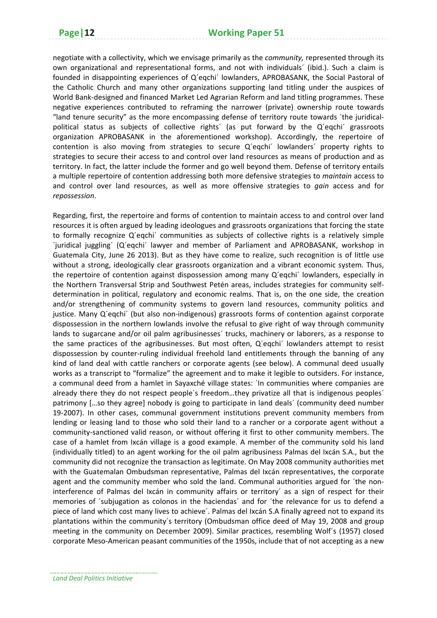negotiate with a collectivity, which we envisage primarily as the *community,* represented through its own organizational and representational forms, and not with individuals´ (ibid.). Such a claim is founded in disappointing experiences of Q´eqchi´ lowlanders, APROBASANK, the Social Pastoral of the Catholic Church and many other organizations supporting land titling under the auspices of World Bank‐designed and financed Market Led Agrarian Reform and land titling programmes. These negative experiences contributed to reframing the narrower (private) ownership route towards "land tenure security" as the more encompassing defense of territory route towards ´the juridical‐ political status as subjects of collective rights´ (as put forward by the Q´eqchi´ grassroots organization APROBASANK in the aforementioned workshop). Accordingly, the repertoire of contention is also moving from strategies to secure Q´eqchi´ lowlanders´ property rights to strategies to secure their access to and control over land resources as means of production and as territory. In fact, the latter include the former and go well beyond them. Defense of territory entails a multiple repertoire of contention addressing both more defensive strategies to *maintain* access to and control over land resources, as well as more offensive strategies to *gain* access and for *repossession*.

Regarding, first, the repertoire and forms of contention to maintain access to and control over land resources it is often argued by leading ideologues and grassroots organizations that forcing the state to formally recognize Q´eqchi´ communities as subjects of collective rights is a relatively simple ´juridical juggling´ (Q´eqchi´ lawyer and member of Parliament and APROBASANK, workshop in Guatemala City, June 26 2013). But as they have come to realize, such recognition is of little use without a strong, ideologically clear grassroots organization and a vibrant economic system. Thus, the repertoire of contention against dispossession among many Q´eqchi´ lowlanders, especially in the Northern Transversal Strip and Southwest Petén areas, includes strategies for community self‐ determination in political, regulatory and economic realms. That is, on the one side, the creation and/or strengthening of community systems to govern land resources, community politics and justice. Many Q'eqchi' (but also non-indigenous) grassroots forms of contention against corporate dispossession in the northern lowlands involve the refusal to give right of way through community lands to sugarcane and/or oil palm agribusinesses' trucks, machinery or laborers, as a response to the same practices of the agribusinesses. But most often, Q´eqchi´ lowlanders attempt to resist dispossession by counter‐ruling individual freehold land entitlements through the banning of any kind of land deal with cattle ranchers or corporate agents (see below). A communal deed usually works as a transcript to "formalize" the agreement and to make it legible to outsiders. For instance, a communal deed from a hamlet in Sayaxché village states: ´In communities where companies are already there they do not respect people´s freedom…they privatize all that is indigenous peoples´ patrimony […so they agree] nobody is going to participate in land deals´ (community deed number 19-2007). In other cases, communal government institutions prevent community members from lending or leasing land to those who sold their land to a rancher or a corporate agent without a community-sanctioned valid reason, or without offering it first to other community members. The case of a hamlet from Ixcán village is a good example. A member of the community sold his land (individually titled) to an agent working for the oil palm agribusiness Palmas del Ixcán S.A., but the community did not recognize the transaction as legitimate. On May 2008 community authorities met with the Guatemalan Ombudsman representative, Palmas del Ixcán representatives, the corporate agent and the community member who sold the land. Communal authorities argued for 'the noninterference of Palmas del Ixcán in community affairs or territory´ as a sign of respect for their memories of ´subjugation as colonos in the haciendas´ and for ´the relevance for us to defend a piece of land which cost many lives to achieve´. Palmas del Ixcán S.A finally agreed not to expand its plantations within the community´s territory (Ombudsman office deed of May 19, 2008 and group meeting in the community on December 2009). Similar practices, resembling Wolf´s (1957) closed corporate Meso‐American peasant communities of the 1950s, include that of not accepting as a new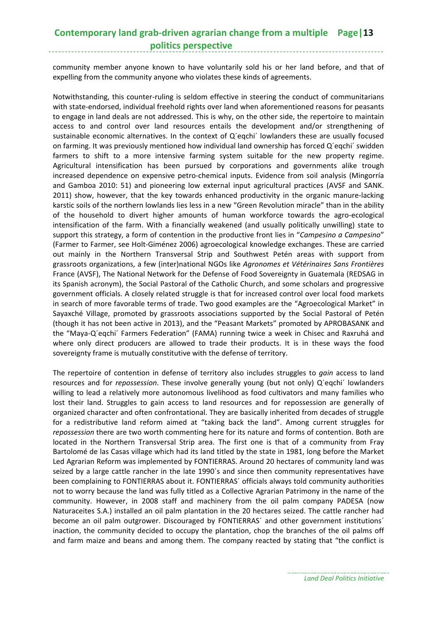#### **Contemporary land grab‐driven agrarian change from a multiple Page|13 politics perspective**

community member anyone known to have voluntarily sold his or her land before, and that of expelling from the community anyone who violates these kinds of agreements.

Notwithstanding, this counter‐ruling is seldom effective in steering the conduct of communitarians with state-endorsed, individual freehold rights over land when aforementioned reasons for peasants to engage in land deals are not addressed. This is why, on the other side, the repertoire to maintain access to and control over land resources entails the development and/or strengthening of sustainable economic alternatives. In the context of Q´eqchi´ lowlanders these are usually focused on farming. It was previously mentioned how individual land ownership has forced Q´eqchi´ swidden farmers to shift to a more intensive farming system suitable for the new property regime. Agricultural intensification has been pursued by corporations and governments alike trough increased dependence on expensive petro-chemical inputs. Evidence from soil analysis (Mingorría and Gamboa 2010: 51) and pioneering low external input agricultural practices (AVSF and SANK. 2011) show, however, that the key towards enhanced productivity in the organic manure-lacking karstic soils of the northern lowlands lies less in a new "Green Revolution miracle" than in the ability of the household to divert higher amounts of human workforce towards the agro‐ecological intensification of the farm. With a financially weakened (and usually politically unwilling) state to support this strategy, a form of contention in the productive front lies in "*Campesino a Campesino*" (Farmer to Farmer, see Holt‐Giménez 2006) agroecological knowledge exchanges. These are carried out mainly in the Northern Transversal Strip and Southwest Petén areas with support from grassroots organizations, a few (inter)national NGOs like *Agronomes et Vétérinaires Sans Frontières* France (AVSF), The National Network for the Defense of Food Sovereignty in Guatemala (REDSAG in its Spanish acronym), the Social Pastoral of the Catholic Church, and some scholars and progressive government officials. A closely related struggle is that for increased control over local food markets in search of more favorable terms of trade. Two good examples are the "Agroecological Market" in Sayaxché Village, promoted by grassroots associations supported by the Social Pastoral of Petén (though it has not been active in 2013), and the "Peasant Markets" promoted by APROBASANK and the "Maya‐Q´eqchi´ Farmers Federation" (FAMA) running twice a week in Chisec and Raxruhá and where only direct producers are allowed to trade their products. It is in these ways the food sovereignty frame is mutually constitutive with the defense of territory.

The repertoire of contention in defense of territory also includes struggles to *gain* access to land resources and for *repossession*. These involve generally young (but not only) Q´eqchi´ lowlanders willing to lead a relatively more autonomous livelihood as food cultivators and many families who lost their land. Struggles to gain access to land resources and for repossession are generally of organized character and often confrontational. They are basically inherited from decades of struggle for a redistributive land reform aimed at "taking back the land". Among current struggles for *repossession* there are two worth commenting here for its nature and forms of contention. Both are located in the Northern Transversal Strip area. The first one is that of a community from Fray Bartolomé de las Casas village which had its land titled by the state in 1981, long before the Market Led Agrarian Reform was implemented by FONTIERRAS. Around 20 hectares of community land was seized by a large cattle rancher in the late 1990's and since then community representatives have been complaining to FONTIERRAS about it. FONTIERRAS´ officials always told community authorities not to worry because the land was fully titled as a Collective Agrarian Patrimony in the name of the community. However, in 2008 staff and machinery from the oil palm company PADESA (now Naturaceites S.A.) installed an oil palm plantation in the 20 hectares seized. The cattle rancher had become an oil palm outgrower. Discouraged by FONTIERRAS´ and other government institutions´ inaction, the community decided to occupy the plantation, chop the branches of the oil palms off and farm maize and beans and among them. The company reacted by stating that "the conflict is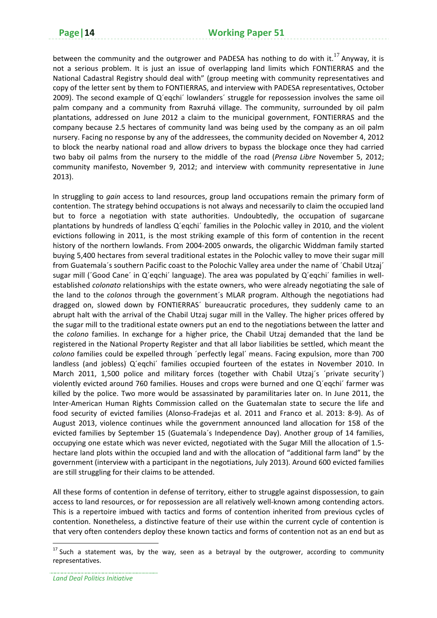between the community and the outgrower and PADESA has nothing to do with it.<sup>17</sup> Anyway, it is not a serious problem. It is just an issue of overlapping land limits which FONTIERRAS and the National Cadastral Registry should deal with" (group meeting with community representatives and copy of the letter sent by them to FONTIERRAS, and interview with PADESA representatives, October 2009). The second example of Q´eqchi´ lowlanders´ struggle for repossession involves the same oil palm company and a community from Raxruhá village. The community, surrounded by oil palm plantations, addressed on June 2012 a claim to the municipal government, FONTIERRAS and the company because 2.5 hectares of community land was being used by the company as an oil palm nursery. Facing no response by any of the addressees, the community decided on November 4, 2012 to block the nearby national road and allow drivers to bypass the blockage once they had carried two baby oil palms from the nursery to the middle of the road (*Prensa Libre* November 5, 2012; community manifesto, November 9, 2012; and interview with community representative in June 2013).

In struggling to *gain* access to land resources, group land occupations remain the primary form of contention. The strategy behind occupations is not always and necessarily to claim the occupied land but to force a negotiation with state authorities. Undoubtedly, the occupation of sugarcane plantations by hundreds of landless Q´eqchi´ families in the Polochic valley in 2010, and the violent evictions following in 2011, is the most striking example of this form of contention in the recent history of the northern lowlands. From 2004-2005 onwards, the oligarchic Widdman family started buying 5,400 hectares from several traditional estates in the Polochic valley to move their sugar mill from Guatemala´s southern Pacific coast to the Polochic Valley area under the name of ´Chabil Utzaj´ sugar mill ('Good Cane' in Q'eqchi' language). The area was populated by Q'eqchi' families in wellestablished *colonato* relationships with the estate owners, who were already negotiating the sale of the land to the *colonos* through the government´s MLAR program. Although the negotiations had dragged on, slowed down by FONTIERRAS´ bureaucratic procedures, they suddenly came to an abrupt halt with the arrival of the Chabil Utzaj sugar mill in the Valley. The higher prices offered by the sugar mill to the traditional estate owners put an end to the negotiations between the latter and the *colono* families. In exchange for a higher price, the Chabil Utzaj demanded that the land be registered in the National Property Register and that all labor liabilities be settled, which meant the *colono* families could be expelled through ´perfectly legal´ means. Facing expulsion, more than 700 landless (and jobless) Q´eqchi´ families occupied fourteen of the estates in November 2010. In March 2011, 1,500 police and military forces (together with Chabil Utzai's 'private security') violently evicted around 760 families. Houses and crops were burned and one Q´eqchi´ farmer was killed by the police. Two more would be assassinated by paramilitaries later on. In June 2011, the Inter‐American Human Rights Commission called on the Guatemalan state to secure the life and food security of evicted families (Alonso‐Fradejas et al. 2011 and Franco et al. 2013: 8‐9). As of August 2013, violence continues while the government announced land allocation for 158 of the evicted families by September 15 (Guatemala´s Independence Day). Another group of 14 families, occupying one estate which was never evicted, negotiated with the Sugar Mill the allocation of 1.5‐ hectare land plots within the occupied land and with the allocation of "additional farm land" by the government (interview with a participant in the negotiations, July 2013). Around 600 evicted families are still struggling for their claims to be attended.

All these forms of contention in defense of territory, either to struggle against dispossession, to gain access to land resources, or for repossession are all relatively well-known among contending actors. This is a repertoire imbued with tactics and forms of contention inherited from previous cycles of contention. Nonetheless, a distinctive feature of their use within the current cycle of contention is that very often contenders deploy these known tactics and forms of contention not as an end but as

 $17$  Such a statement was, by the way, seen as a betrayal by the outgrower, according to community representatives.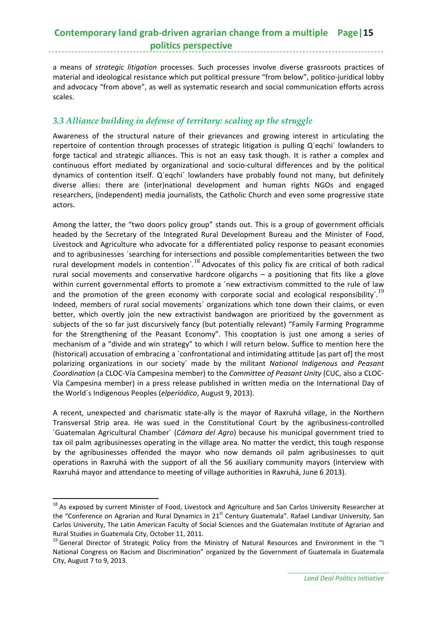## **Contemporary land grab‐driven agrarian change from a multiple Page|15 politics perspective**

a means of *strategic litigation* processes. Such processes involve diverse grassroots practices of material and ideological resistance which put political pressure "from below", politico-juridical lobby and advocacy "from above", as well as systematic research and social communication efforts across scales.

### *3.3 Alliance building in defense of territory: scaling up the struggle*

Awareness of the structural nature of their grievances and growing interest in articulating the repertoire of contention through processes of strategic litigation is pulling Q´eqchi´ lowlanders to forge tactical and strategic alliances. This is not an easy task though. It is rather a complex and continuous effort mediated by organizational and socio‐cultural differences and by the political dynamics of contention itself. Q´eqchi´ lowlanders have probably found not many, but definitely diverse allies: there are (inter)national development and human rights NGOs and engaged researchers, (independent) media journalists, the Catholic Church and even some progressive state actors.

Among the latter, the "two doors policy group" stands out. This is a group of government officials headed by the Secretary of the Integrated Rural Development Bureau and the Minister of Food, Livestock and Agriculture who advocate for a differentiated policy response to peasant economies and to agribusinesses ´searching for intersections and possible complementarities between the two rural development models in contention´.<sup>18</sup> Advocates of this policy fix are critical of both radical rural social movements and conservative hardcore oligarchs – a positioning that fits like a glove within current governmental efforts to promote a ´new extractivism committed to the rule of law and the promotion of the green economy with corporate social and ecological responsibility<sup>'.19</sup> Indeed, members of rural social movements´ organizations which tone down their claims, or even better, which overtly join the new extractivist bandwagon are prioritized by the government as subjects of the so far just discursively fancy (but potentially relevant) "Family Farming Programme for the Strengthening of the Peasant Economy". This cooptation is just one among a series of mechanism of a "divide and win strategy" to which I will return below. Suffice to mention here the (historical) accusation of embracing a ´confrontational and intimidating attitude [as part of] the most polarizing organizations in our society´ made by the militant *National Indigenous and Peasant Coordination* (a CLOC‐Vía Campesina member) to the *Committee of Peasant Unity* (CUC, also a CLOC‐ Vía Campesina member) in a press release published in written media on the International Day of the World´s Indigenous Peoples (*elperiódico*, August 9, 2013).

A recent, unexpected and charismatic state‐ally is the mayor of Raxruhá village, in the Northern Transversal Strip area. He was sued in the Constitutional Court by the agribusiness-controlled ´Guatemalan Agricultural Chamber´ (*Cámara del Agro*) because his municipal government tried to tax oil palm agribusinesses operating in the village area. No matter the verdict, this tough response by the agribusinesses offended the mayor who now demands oil palm agribusinesses to quit operations in Raxruhá with the support of all the 56 auxiliary community mayors (interview with Raxruhá mayor and attendance to meeting of village authorities in Raxruhá, June 6 2013).

<sup>&</sup>lt;sup>18</sup> As exposed by current Minister of Food, Livestock and Agriculture and San Carlos University Researcher at the "Conference on Agrarian and Rural Dynamics in 21<sup>st</sup> Century Guatemala". Rafael Landivar University, San Carlos University, The Latin American Faculty of Social Sciences and the Guatemalan Institute of Agrarian and Rural Studies in Guatemala City, October 11, 2011.<br><sup>19</sup> General Director of Strategic Policy from the Ministry of Natural Resources and Environment in the "I

National Congress on Racism and Discrimination" organized by the Government of Guatemala in Guatemala City, August 7 to 9, 2013.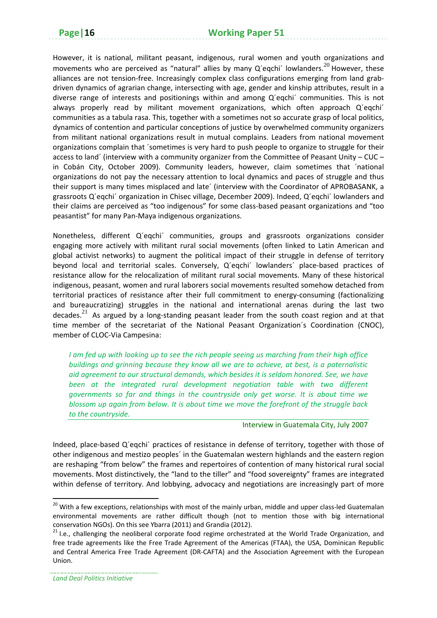However, it is national, militant peasant, indigenous, rural women and youth organizations and movements who are perceived as "natural" allies by many  $Q'$ eqchi' lowlanders.<sup>20</sup> However, these alliances are not tension-free. Increasingly complex class configurations emerging from land grabdriven dynamics of agrarian change, intersecting with age, gender and kinship attributes, result in a diverse range of interests and positionings within and among Q´eqchi´ communities. This is not always properly read by militant movement organizations, which often approach Q´eqchi´ communities as a tabula rasa. This, together with a sometimes not so accurate grasp of local politics, dynamics of contention and particular conceptions of justice by overwhelmed community organizers from militant national organizations result in mutual complains. Leaders from national movement organizations complain that ´sometimes is very hard to push people to organize to struggle for their access to land´ (interview with a community organizer from the Committee of Peasant Unity – CUC – in Cobán City, October 2009). Community leaders, however, claim sometimes that ´national organizations do not pay the necessary attention to local dynamics and paces of struggle and thus their support is many times misplaced and late´ (interview with the Coordinator of APROBASANK, a grassroots Q´eqchi´ organization in Chisec village, December 2009). Indeed, Q´eqchi´ lowlanders and their claims are perceived as "too indigenous" for some class‐based peasant organizations and "too peasantist" for many Pan‐Maya indigenous organizations.

Nonetheless, different Q´eqchi´ communities, groups and grassroots organizations consider engaging more actively with militant rural social movements (often linked to Latin American and global activist networks) to augment the political impact of their struggle in defense of territory beyond local and territorial scales. Conversely, Q'eqchi' lowlanders' place-based practices of resistance allow for the relocalization of militant rural social movements. Many of these historical indigenous, peasant, women and rural laborers social movements resulted somehow detached from territorial practices of resistance after their full commitment to energy-consuming (factionalizing and bureaucratizing) struggles in the national and international arenas during the last two decades. $^{21}$  As argued by a long-standing peasant leader from the south coast region and at that time member of the secretariat of the National Peasant Organization´s Coordination (CNOC), member of CLOC‐Via Campesina:

I am fed up with looking up to see the rich people seeing us marching from their high office *buildings and grinning because they know all we are to achieve, at best, is a paternalistic aid agreement to our structural demands, which besides it is seldom honored. See, we have been at the integrated rural development negotiation table with two different governments so far and things in the countryside only get worse. It is about time we blossom up again from below. It is about time we move the forefront of the struggle back to the countryside.*

#### Interview in Guatemala City, July 2007

Indeed, place-based Q'eqchi' practices of resistance in defense of territory, together with those of other indigenous and mestizo peoples´ in the Guatemalan western highlands and the eastern region are reshaping "from below" the frames and repertoires of contention of many historical rural social movements. Most distinctively, the "land to the tiller" and "food sovereignty" frames are integrated within defense of territory. And lobbying, advocacy and negotiations are increasingly part of more

<sup>&</sup>lt;sup>20</sup> With a few exceptions, relationships with most of the mainly urban, middle and upper class-led Guatemalan environmental movements are rather difficult though (not to mention those with big international conservation NGOs). On this see Ybarra (2011) and Grandia (2012).<br><sup>21</sup> I.e., challenging the neoliberal corporate food regime orchestrated at the World Trade Organization, and

free trade agreements like the Free Trade Agreement of the Americas (FTAA), the USA, Dominican Republic and Central America Free Trade Agreement (DR‐CAFTA) and the Association Agreement with the European Union.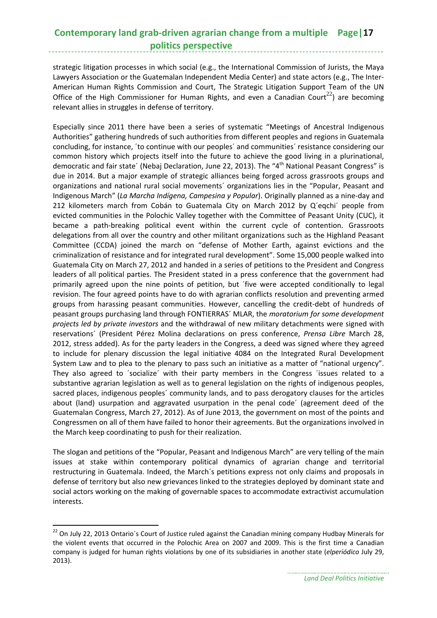## **Contemporary land grab‐driven agrarian change from a multiple Page|17 politics perspective**

strategic litigation processes in which social (e.g., the International Commission of Jurists, the Maya Lawyers Association or the Guatemalan Independent Media Center) and state actors (e.g., The Inter‐ American Human Rights Commission and Court, The Strategic Litigation Support Team of the UN Office of the High Commissioner for Human Rights, and even a Canadian Court<sup>22</sup>) are becoming relevant allies in struggles in defense of territory.

Especially since 2011 there have been a series of systematic "Meetings of Ancestral Indigenous Authorities" gathering hundreds of such authorities from different peoples and regions in Guatemala concluding, for instance, ´to continue with our peoples´ and communities´ resistance considering our common history which projects itself into the future to achieve the good living in a plurinational, democratic and fair state' (Nebaj Declaration, June 22, 2013). The "4<sup>th</sup> National Peasant Congress" is due in 2014. But a major example of strategic alliances being forged across grassroots groups and organizations and national rural social movements´ organizations lies in the "Popular, Peasant and Indigenous March" (*La Marcha Indígena, Campesina y Popular*). Originally planned as a nine‐day and 212 kilometers march from Cobán to Guatemala City on March 2012 by Q'eqchi' people from evicted communities in the Polochic Valley together with the Committee of Peasant Unity (CUC), it became a path‐breaking political event within the current cycle of contention. Grassroots delegations from all over the country and other militant organizations such as the Highland Peasant Committee (CCDA) joined the march on "defense of Mother Earth, against evictions and the criminalization of resistance and for integrated rural development". Some 15,000 people walked into Guatemala City on March 27, 2012 and handed in a series of petitions to the President and Congress leaders of all political parties. The President stated in a press conference that the government had primarily agreed upon the nine points of petition, but ´five were accepted conditionally to legal revision. The four agreed points have to do with agrarian conflicts resolution and preventing armed groups from harassing peasant communities. However, cancelling the credit‐debt of hundreds of peasant groups purchasing land through FONTIERRAS´ MLAR, the *moratorium for some development projects led by private investors* and the withdrawal of new military detachments were signed with reservations´ (President Pérez Molina declarations on press conference, *Prensa Libre* March 28, 2012, stress added). As for the party leaders in the Congress, a deed was signed where they agreed to include for plenary discussion the legal initiative 4084 on the Integrated Rural Development System Law and to plea to the plenary to pass such an initiative as a matter of "national urgency". They also agreed to ´socialize´ with their party members in the Congress ´issues related to a substantive agrarian legislation as well as to general legislation on the rights of indigenous peoples, sacred places, indigenous peoples´ community lands, and to pass derogatory clauses for the articles about (land) usurpation and aggravated usurpation in the penal code´ (agreement deed of the Guatemalan Congress, March 27, 2012). As of June 2013, the government on most of the points and Congressmen on all of them have failed to honor their agreements. But the organizations involved in the March keep coordinating to push for their realization.

The slogan and petitions of the "Popular, Peasant and Indigenous March" are very telling of the main issues at stake within contemporary political dynamics of agrarian change and territorial restructuring in Guatemala. Indeed, the March´s petitions express not only claims and proposals in defense of territory but also new grievances linked to the strategies deployed by dominant state and social actors working on the making of governable spaces to accommodate extractivist accumulation interests.

<sup>&</sup>lt;sup>22</sup> On July 22, 2013 Ontario's Court of Justice ruled against the Canadian mining company Hudbay Minerals for the violent events that occurred in the Polochic Area on 2007 and 2009. This is the first time a Canadian company is judged for human rights violations by one of its subsidiaries in another state (*elperiódico* July 29, 2013).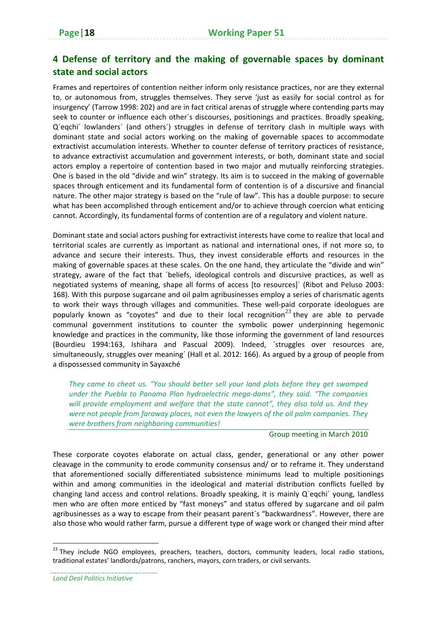## **4 Defense of territory and the making of governable spaces by dominant state and social actors**

Frames and repertoires of contention neither inform only resistance practices, nor are they external to, or autonomous from, struggles themselves. They serve 'just as easily for social control as for insurgency' (Tarrow 1998: 202) and are in fact critical arenas of struggle where contending parts may seek to counter or influence each other´s discourses, positionings and practices. Broadly speaking, Q´eqchi´ lowlanders´ (and others´) struggles in defense of territory clash in multiple ways with dominant state and social actors working on the making of governable spaces to accommodate extractivist accumulation interests. Whether to counter defense of territory practices of resistance, to advance extractivist accumulation and government interests, or both, dominant state and social actors employ a repertoire of contention based in two major and mutually reinforcing strategies. One is based in the old "divide and win" strategy. Its aim is to succeed in the making of governable spaces through enticement and its fundamental form of contention is of a discursive and financial nature. The other major strategy is based on the "rule of law". This has a double purpose: to secure what has been accomplished through enticement and/or to achieve through coercion what enticing cannot. Accordingly, its fundamental forms of contention are of a regulatory and violent nature.

Dominant state and social actors pushing for extractivist interests have come to realize that local and territorial scales are currently as important as national and international ones, if not more so, to advance and secure their interests. Thus, they invest considerable efforts and resources in the making of governable spaces at these scales. On the one hand, they articulate the "divide and win" strategy, aware of the fact that ´beliefs, ideological controls and discursive practices, as well as negotiated systems of meaning, shape all forms of access [to resources]´ (Ribot and Peluso 2003: 168). With this purpose sugarcane and oil palm agribusinesses employ a series of charismatic agents to work their ways through villages and communities. These well-paid corporate ideologues are popularly known as "coyotes" and due to their local recognition<sup>23</sup> they are able to pervade communal government institutions to counter the symbolic power underpinning hegemonic knowledge and practices in the community, like those informing the government of land resources (Bourdieu 1994:163, Ishihara and Pascual 2009). Indeed, ´struggles over resources are, simultaneously, struggles over meaning´ (Hall et al. 2012: 166). As argued by a group of people from a dispossessed community in Sayaxché

*They came to cheat us. "You should better sell your land plots before they get swamped under the Puebla to Panama Plan hydroelectric mega‐dams", they said. "The companies will provide employment and welfare that the state cannot", they also told us. And they were not people from faraway places, not even the lawyers of the oil palm companies. They were brothers from neighboring communities!* 

#### Group meeting in March 2010

These corporate coyotes elaborate on actual class, gender, generational or any other power cleavage in the community to erode community consensus and/ or to reframe it. They understand that aforementioned socially differentiated subsistence minimums lead to multiple positionings within and among communities in the ideological and material distribution conflicts fuelled by changing land access and control relations. Broadly speaking, it is mainly Q´eqchi´ young, landless men who are often more enticed by "fast moneys" and status offered by sugarcane and oil palm agribusinesses as a way to escape from their peasant parent´s "backwardness". However, there are also those who would rather farm, pursue a different type of wage work or changed their mind after

*Land Deal Politics Initiative*

<sup>&</sup>lt;sup>23</sup> They include NGO employees, preachers, teachers, doctors, community leaders, local radio stations, traditional estates' landlords/patrons, ranchers, mayors, corn traders, or civil servants.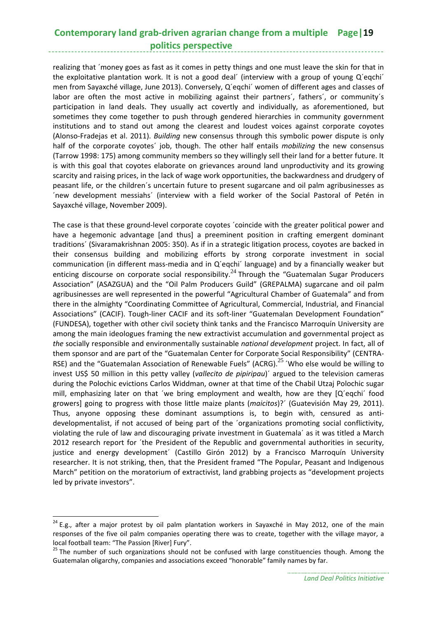## **Contemporary land grab‐driven agrarian change from a multiple Page|19 politics perspective**

realizing that ´money goes as fast as it comes in petty things and one must leave the skin for that in the exploitative plantation work. It is not a good deal´ (interview with a group of young Q´eqchi´ men from Sayaxché village, June 2013). Conversely, Q´eqchi´ women of different ages and classes of labor are often the most active in mobilizing against their partners', fathers', or community's participation in land deals. They usually act covertly and individually, as aforementioned, but sometimes they come together to push through gendered hierarchies in community government institutions and to stand out among the clearest and loudest voices against corporate coyotes (Alonso‐Fradejas et al. 2011). *Building* new consensus through this symbolic power dispute is only half of the corporate coyotes´ job, though. The other half entails *mobilizing* the new consensus (Tarrow 1998: 175) among community members so they willingly sell their land for a better future. It is with this goal that coyotes elaborate on grievances around land unproductivity and its growing scarcity and raising prices, in the lack of wage work opportunities, the backwardness and drudgery of peasant life, or the children´s uncertain future to present sugarcane and oil palm agribusinesses as ´new development messiahs´ (interview with a field worker of the Social Pastoral of Petén in Sayaxché village, November 2009).

The case is that these ground-level corporate coyotes 'coincide with the greater political power and have a hegemonic advantage [and thus] a preeminent position in crafting emergent dominant traditions´ (Sivaramakrishnan 2005: 350). As if in a strategic litigation process, coyotes are backed in their consensus building and mobilizing efforts by strong corporate investment in social communication (in different mass‐media and in Q´eqchi´ language) and by a financially weaker but enticing discourse on corporate social responsibility.<sup>24</sup> Through the "Guatemalan Sugar Producers" Association" (ASAZGUA) and the "Oil Palm Producers Guild" (GREPALMA) sugarcane and oil palm agribusinesses are well represented in the powerful "Agricultural Chamber of Guatemala" and from there in the almighty "Coordinating Committee of Agricultural, Commercial, Industrial, and Financial Associations" (CACIF). Tough‐liner CACIF and its soft‐liner "Guatemalan Development Foundation" (FUNDESA), together with other civil society think tanks and the Francisco Marroquín University are among the main ideologues framing the new extractivist accumulation and governmental project as *the* socially responsible and environmentally sustainable *national development* project. In fact, all of them sponsor and are part of the "Guatemalan Center for Corporate Social Responsibility" (CENTRA‐ RSE) and the "Guatemalan Association of Renewable Fuels" (ACRG).<sup>25</sup> 'Who else would be willing to invest US\$ 50 million in this petty valley (*vallecito de pipiripau*)´ argued to the television cameras during the Polochic evictions Carlos Widdman, owner at that time of the Chabil Utzaj Polochic sugar mill, emphasizing later on that ´we bring employment and wealth, how are they [Q´eqchi´ food growers] going to progress with those little maize plants (*maicitos*)?´ (Guatevisión May 29, 2011). Thus, anyone opposing these dominant assumptions is, to begin with, censured as anti‐ developmentalist, if not accused of being part of the ´organizations promoting social conflictivity, violating the rule of law and discouraging private investment in Guatemala´ as it was titled a March 2012 research report for ´the President of the Republic and governmental authorities in security, justice and energy development´ (Castillo Girón 2012) by a Francisco Marroquín University researcher. It is not striking, then, that the President framed "The Popular, Peasant and Indigenous March" petition on the moratorium of extractivist, land grabbing projects as "development projects led by private investors".

<sup>&</sup>lt;sup>24</sup> E.g., after a major protest by oil palm plantation workers in Sayaxché in May 2012, one of the main responses of the five oil palm companies operating there was to create, together with the village mayor, a local football team: "The Passion [River] Fury".<br><sup>25</sup> The number of such organizations should not be confused with large constituencies though. Among the

Guatemalan oligarchy, companies and associations exceed "honorable" family names by far.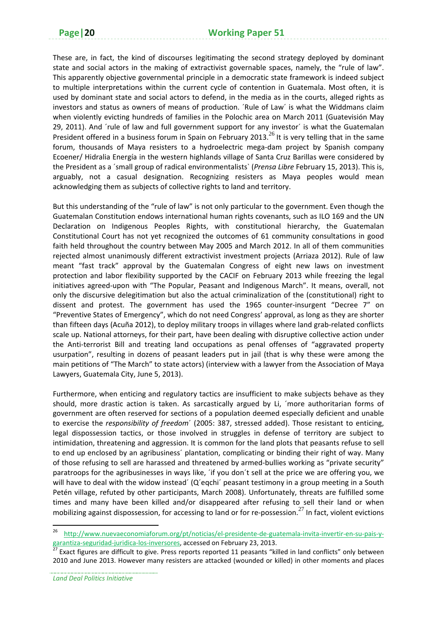These are, in fact, the kind of discourses legitimating the second strategy deployed by dominant state and social actors in the making of extractivist governable spaces, namely, the "rule of law". This apparently objective governmental principle in a democratic state framework is indeed subject to multiple interpretations within the current cycle of contention in Guatemala. Most often, it is used by dominant state and social actors to defend, in the media as in the courts, alleged rights as investors and status as owners of means of production. ´Rule of Law´ is what the Widdmans claim when violently evicting hundreds of families in the Polochic area on March 2011 (Guatevisión May 29, 2011). And ´rule of law and full government support for any investor´ is what the Guatemalan President offered in a business forum in Spain on February 2013.<sup>26</sup> It is very telling that in the same forum, thousands of Maya resisters to a hydroelectric mega-dam project by Spanish company Ecoener/ Hidralia Energía in the western highlands village of Santa Cruz Barillas were considered by the President as a ´small group of radical environmentalists` (*Prensa Libre* February 15, 2013). This is, arguably, not a casual designation. Recognizing resisters as Maya peoples would mean acknowledging them as subjects of collective rights to land and territory.

But this understanding of the "rule of law" is not only particular to the government. Even though the Guatemalan Constitution endows international human rights covenants, such as ILO 169 and the UN Declaration on Indigenous Peoples Rights, with constitutional hierarchy, the Guatemalan Constitutional Court has not yet recognized the outcomes of 61 community consultations in good faith held throughout the country between May 2005 and March 2012. In all of them communities rejected almost unanimously different extractivist investment projects (Arriaza 2012). Rule of law meant "fast track" approval by the Guatemalan Congress of eight new laws on investment protection and labor flexibility supported by the CACIF on February 2013 while freezing the legal initiatives agreed‐upon with "The Popular, Peasant and Indigenous March". It means, overall, not only the discursive delegitimation but also the actual criminalization of the (constitutional) right to dissent and protest. The government has used the 1965 counter‐insurgent "Decree 7" on "Preventive States of Emergency", which do not need Congress' approval, as long as they are shorter than fifteen days (Acuña 2012), to deploy military troops in villages where land grab‐related conflicts scale up. National attorneys, for their part, have been dealing with disruptive collective action under the Anti-terrorist Bill and treating land occupations as penal offenses of "aggravated property usurpation", resulting in dozens of peasant leaders put in jail (that is why these were among the main petitions of "The March" to state actors) (interview with a lawyer from the Association of Maya Lawyers, Guatemala City, June 5, 2013).

Furthermore, when enticing and regulatory tactics are insufficient to make subjects behave as they should, more drastic action is taken. As sarcastically argued by Li, ´more authoritarian forms of government are often reserved for sections of a population deemed especially deficient and unable to exercise the *responsibility of freedom*´ (2005: 387, stressed added). Those resistant to enticing, legal dispossession tactics, or those involved in struggles in defense of territory are subject to intimidation, threatening and aggression. It is common for the land plots that peasants refuse to sell to end up enclosed by an agribusiness´ plantation, complicating or binding their right of way. Many of those refusing to sell are harassed and threatened by armed‐bullies working as "private security" paratroops for the agribusinesses in ways like, ´if you don´t sell at the price we are offering you, we will have to deal with the widow instead' (Q'eqchi' peasant testimony in a group meeting in a South Petén village, refuted by other participants, March 2008). Unfortunately, threats are fulfilled some times and many have been killed and/or disappeared after refusing to sell their land or when mobilizing against dispossession, for accessing to land or for re-possession.<sup>27</sup> In fact, violent evictions

<sup>26</sup> http://www.nuevaeconomiaforum.org/pt/noticias/el‐presidente‐de‐guatemala‐invita‐invertir‐en‐su‐pais‐y‐ garantiza-seguridad-juridica-los-inversores, accessed on February 23, 2013.<br><sup>27</sup> Exact figures are difficult to give. Press reports reported 11 peasants "killed in land conflicts" only between

<sup>2010</sup> and June 2013. However many resisters are attacked (wounded or killed) in other moments and places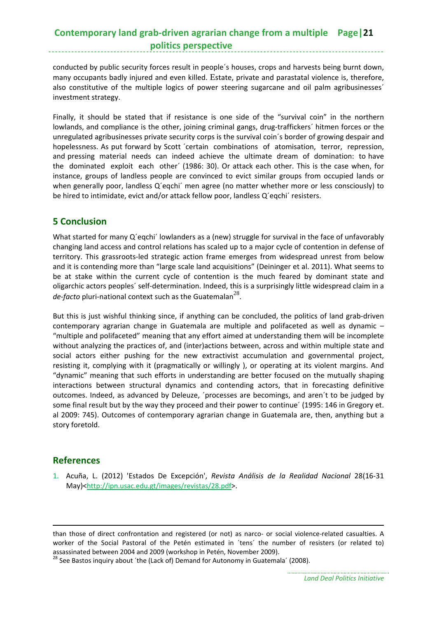## **Contemporary land grab‐driven agrarian change from a multiple Page|21 politics perspective**

conducted by public security forces result in people´s houses, crops and harvests being burnt down, many occupants badly injured and even killed. Estate, private and parastatal violence is, therefore, also constitutive of the multiple logics of power steering sugarcane and oil palm agribusinesses´ investment strategy.

Finally, it should be stated that if resistance is one side of the "survival coin" in the northern lowlands, and compliance is the other, joining criminal gangs, drug-traffickers' hitmen forces or the unregulated agribusinesses private security corps is the survival coin´s border of growing despair and hopelessness. As put forward by Scott 'certain combinations of atomisation, terror, repression, and pressing material needs can indeed achieve the ultimate dream of domination: to have the dominated exploit each other´ (1986: 30). Or attack each other. This is the case when, for instance, groups of landless people are convinced to evict similar groups from occupied lands or when generally poor, landless Q'eqchi' men agree (no matter whether more or less consciously) to be hired to intimidate, evict and/or attack fellow poor, landless Q´eqchi´ resisters.

### **5 Conclusion**

What started for many Q'eqchi' lowlanders as a (new) struggle for survival in the face of unfavorably changing land access and control relations has scaled up to a major cycle of contention in defense of territory. This grassroots‐led strategic action frame emerges from widespread unrest from below and it is contending more than "large scale land acquisitions" (Deininger et al. 2011). What seems to be at stake within the current cycle of contention is the much feared by dominant state and oligarchic actors peoples´ self‐determination. Indeed, this is a surprisingly little widespread claim in a de-facto pluri-national context such as the Guatemalan<sup>28</sup>.

But this is just wishful thinking since, if anything can be concluded, the politics of land grab-driven contemporary agrarian change in Guatemala are multiple and polifaceted as well as dynamic – "multiple and polifaceted" meaning that any effort aimed at understanding them will be incomplete without analyzing the practices of, and (inter)actions between, across and within multiple state and social actors either pushing for the new extractivist accumulation and governmental project, resisting it, complying with it (pragmatically or willingly ), or operating at its violent margins. And "dynamic" meaning that such efforts in understanding are better focused on the mutually shaping interactions between structural dynamics and contending actors, that in forecasting definitive outcomes. Indeed, as advanced by Deleuze, ´processes are becomings, and aren´t to be judged by some final result but by the way they proceed and their power to continue´ (1995: 146 in Gregory et. al 2009: 745). Outcomes of contemporary agrarian change in Guatemala are, then, anything but a story foretold.

### **References**

1. Acuña, L. (2012) 'Estados De Excepción', *Revista Análisis de la Realidad Nacional* 28(16‐31 May)<http://ipn.usac.edu.gt/images/revistas/28.pdf>.

<u> 1989 - Johann Barn, amerikansk politiker (d. 1989)</u>

than those of direct confrontation and registered (or not) as narco- or social violence-related casualties. A worker of the Social Pastoral of the Petén estimated in ´tens´ the number of resisters (or related to)

assassinated between 2004 and 2009 (workshop in Petén, November 2009).<br><sup>28</sup> See Bastos inquiry about ´the (Lack of) Demand for Autonomy in Guatemala´ (2008).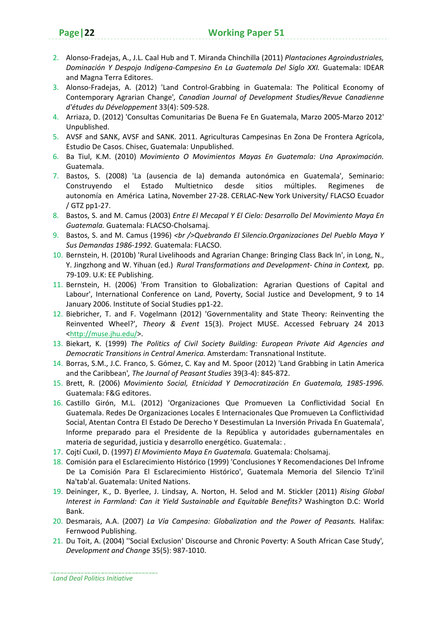- 2. Alonso‐Fradejas, A., J.L. Caal Hub and T. Miranda Chinchilla (2011) *Plantaciones Agroindustriales, Dominación Y Despojo Indígena‐Campesino En La Guatemala Del Siglo XXI.* Guatemala: IDEAR and Magna Terra Editores.
- 3. Alonso‐Fradejas, A. (2012) 'Land Control‐Grabbing in Guatemala: The Political Economy of Contemporary Agrarian Change'*, Canadian Journal of Development Studies/Revue Canadienne d'études du Développement* 33(4): 509‐528.
- 4. Arriaza, D. (2012) 'Consultas Comunitarias De Buena Fe En Guatemala, Marzo 2005‐Marzo 2012' Unpublished.
- 5. AVSF and SANK, AVSF and SANK. 2011. Agriculturas Campesinas En Zona De Frontera Agrícola, Estudio De Casos. Chisec, Guatemala: Unpublished.
- 6. Ba Tiul, K.M. (2010) *Movimiento O Movimientos Mayas En Guatemala: Una Aproximación.* Guatemala.
- 7. Bastos, S. (2008) 'La (ausencia de la) demanda autonómica en Guatemala', Seminario: Construyendo el Estado Multietnico desde sitios múltiples. Regimenes de autonomía en América Latina, November 27‐28. CERLAC‐New York University/ FLACSO Ecuador / GTZ pp1‐27.
- 8. Bastos, S. and M. Camus (2003) *Entre El Mecapal Y El Cielo: Desarrollo Del Movimiento Maya En Guatemala.* Guatemala: FLACSO‐Cholsamaj.
- 9. Bastos, S. and M. Camus (1996) *<br />Quebrando El Silencio.Organizaciones Del Pueblo Maya Y Sus Demandas 1986‐1992.* Guatemala: FLACSO.
- 10. Bernstein, H. (2010b) 'Rural Livelihoods and Agrarian Change: Bringing Class Back In', in Long, N., Y. Jingzhong and W. Yihuan (ed.) *Rural Transformations and Development‐ China in Context,* pp. 79‐109. U.K: EE Publishing.
- 11. Bernstein, H. (2006) 'From Transition to Globalization: Agrarian Questions of Capital and Labour', International Conference on Land, Poverty, Social Justice and Development, 9 to 14 January 2006. Institute of Social Studies pp1‐22.
- 12. Biebricher, T. and F. Vogelmann (2012) 'Governmentality and State Theory: Reinventing the Reinvented Wheel?', *Theory & Event* 15(3). Project MUSE. Accessed February 24 2013 <http://muse.jhu.edu/>.
- 13. Biekart, K. (1999) *The Politics of Civil Society Building: European Private Aid Agencies and Democratic Transitions in Central America.* Amsterdam: Transnational Institute.
- 14. Borras, S.M., J.C. Franco, S. Gómez, C. Kay and M. Spoor (2012) 'Land Grabbing in Latin America and the Caribbean'*, The Journal of Peasant Studies* 39(3‐4): 845‐872.
- 15. Brett, R. (2006) *Movimiento Social, Etnicidad Y Democratización En Guatemala, 1985‐1996.* Guatemala: F&G editores.
- 16. Castillo Girón, M.L. (2012) 'Organizaciones Que Promueven La Conflictividad Social En Guatemala. Redes De Organizaciones Locales E Internacionales Que Promueven La Conflictividad Social, Atentan Contra El Estado De Derecho Y Desestimulan La Inversión Privada En Guatemala', Informe preparado para el Presidente de la República y autoridades gubernamentales en materia de seguridad, justicia y desarrollo energético. Guatemala: .
- 17. Cojtí Cuxil, D. (1997) *El Movimiento Maya En Guatemala.* Guatemala: Cholsamaj.
- 18. Comisión para el Esclarecimiento Histórico (1999) 'Conclusiones Y Recomendaciones Del Infrome De La Comisión Para El Esclarecimiento Histórico', Guatemala Memoria del Silencio Tz'inil Na'tab'al. Guatemala: United Nations.
- 19. Deininger, K., D. Byerlee, J. Lindsay, A. Norton, H. Selod and M. Stickler (2011) *Rising Global Interest in Farmland: Can it Yield Sustainable and Equitable Benefits?* Washington D.C: World Bank.
- 20. Desmarais, A.A. (2007) *La Vía Campesina: Globalization and the Power of Peasants.* Halifax: Fernwood Publishing.
- 21. Du Toit, A. (2004) ''Social Exclusion' Discourse and Chronic Poverty: A South African Case Study'*, Development and Change* 35(5): 987‐1010.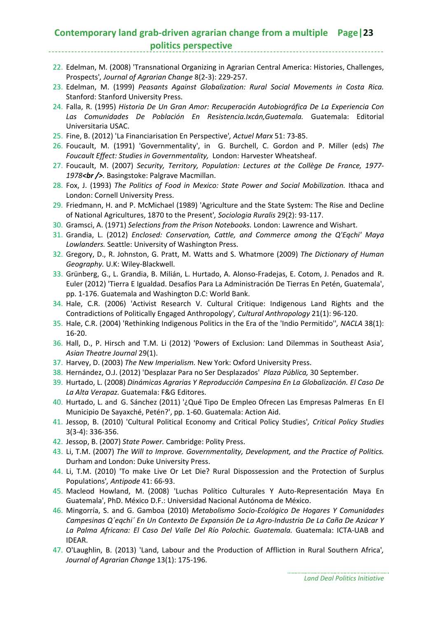#### **Contemporary land grab‐driven agrarian change from a multiple Page|23 politics perspective**

- 22. Edelman, M. (2008) 'Transnational Organizing in Agrarian Central America: Histories, Challenges, Prospects'*, Journal of Agrarian Change* 8(2‐3): 229‐257.
- 23. Edelman, M. (1999) *Peasants Against Globalization: Rural Social Movements in Costa Rica.* Stanford: Stanford University Press.
- 24. Falla, R. (1995) *Historia De Un Gran Amor: Recuperación Autobiográfica De La Experiencia Con Las Comunidades De Población En Resistencia.Ixcán,Guatemala.* Guatemala: Editorial Universitaria USAC.
- 25. Fine, B. (2012) 'La Financiarisation En Perspective'*, Actuel Marx* 51: 73‐85.
- 26. Foucault, M. (1991) 'Governmentality', in G. Burchell, C. Gordon and P. Miller (eds) *The Foucault Effect: Studies in Governmentality,* London: Harvester Wheatsheaf.
- 27. Foucault, M. (2007) *Security, Territory, Population: Lectures at the Collège De France, 1977‐ 1978<br />.* Basingstoke: Palgrave Macmillan.
- 28. Fox, J. (1993) *The Politics of Food in Mexico: State Power and Social Mobilization.* Ithaca and London: Cornell University Press.
- 29. Friedmann, H. and P. McMichael (1989) 'Agriculture and the State System: The Rise and Decline of National Agricultures, 1870 to the Present'*, Sociologia Ruralis* 29(2): 93‐117.
- 30. Gramsci, A. (1971) *Selections from the Prison Notebooks.* London: Lawrence and Wishart.
- 31. Grandia, L. (2012) *Enclosed: Conservation, Cattle, and Commerce among the Q'Eqchi' Maya Lowlanders.* Seattle: University of Washington Press.
- 32. Gregory, D., R. Johnston, G. Pratt, M. Watts and S. Whatmore (2009) *The Dictionary of Human Geography.* U.K: Wiley‐Blackwell.
- 33. Grünberg, G., L. Grandia, B. Milián, L. Hurtado, A. Alonso‐Fradejas, E. Cotom, J. Penados and R. Euler (2012) 'Tierra E Igualdad. Desafíos Para La Administración De Tierras En Petén, Guatemala', pp. 1‐176. Guatemala and Washington D.C: World Bank.
- 34. Hale, C.R. (2006) 'Activist Research V. Cultural Critique: Indigenous Land Rights and the Contradictions of Politically Engaged Anthropology'*, Cultural Anthropology* 21(1): 96‐120.
- 35. Hale, C.R. (2004) 'Rethinking Indigenous Politics in the Era of the 'Indio Permitido''*, NACLA* 38(1): 16‐20.
- 36. Hall, D., P. Hirsch and T.M. Li (2012) 'Powers of Exclusion: Land Dilemmas in Southeast Asia'*, Asian Theatre Journal* 29(1).
- 37. Harvey, D. (2003) *The New Imperialism.* New York: Oxford University Press.
- 38. Hernández, O.J. (2012) 'Desplazar Para no Ser Desplazados' *Plaza Pública,* 30 September.
- 39. Hurtado, L. (2008) *Dinámicas Agrarias Y Reproducción Campesina En La Globalización. El Caso De La Alta Verapaz.* Guatemala: F&G Editores.
- 40. Hurtado, L. and G. Sánchez (2011) '¿Qué Tipo De Empleo Ofrecen Las Empresas Palmeras En El Municipio De Sayaxché, Petén?', pp. 1‐60. Guatemala: Action Aid.
- 41. Jessop, B. (2010) 'Cultural Political Economy and Critical Policy Studies'*, Critical Policy Studies* 3(3‐4): 336‐356.
- 42. Jessop, B. (2007) *State Power.* Cambridge: Polity Press.
- 43. Li, T.M. (2007) *The Will to Improve. Governmentality, Development, and the Practice of Politics.* Durham and London: Duke University Press.
- 44. Li, T.M. (2010) 'To make Live Or Let Die? Rural Dispossession and the Protection of Surplus Populations'*, Antipode* 41: 66‐93.
- 45. Macleod Howland, M. (2008) 'Luchas Político Culturales Y Auto‐Representación Maya En Guatemala', PhD. México D.F.: Universidad Nacional Autónoma de México.
- 46. Mingorría, S. and G. Gamboa (2010) *Metabolismo Socio‐Ecológico De Hogares Y Comunidades Campesinas Q´eqchi´ En Un Contexto De Expansión De La Agro‐Industria De La Caña De Azúcar Y La Palma Africana: El Caso Del Valle Del Río Polochic. Guatemala.* Guatemala: ICTA‐UAB and IDEAR.
- 47. O'Laughlin, B. (2013) 'Land, Labour and the Production of Affliction in Rural Southern Africa'*, Journal of Agrarian Change* 13(1): 175‐196.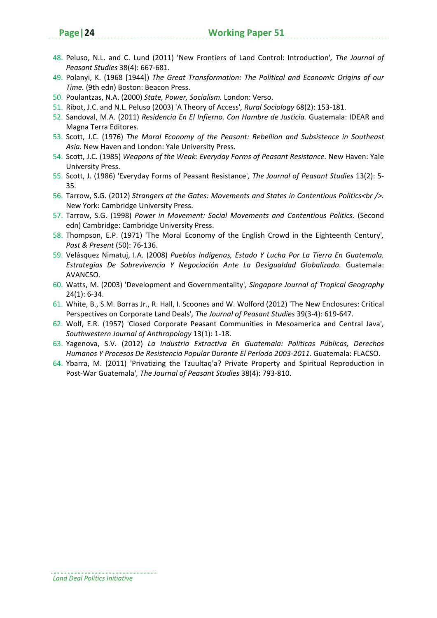- 48. Peluso, N.L. and C. Lund (2011) 'New Frontiers of Land Control: Introduction'*, The Journal of Peasant Studies* 38(4): 667‐681.
- 49. Polanyi, K. (1968 [1944]) *The Great Transformation: The Political and Economic Origins of our Time.* (9th edn) Boston: Beacon Press.
- 50. Poulantzas, N.A. (2000) *State, Power, Socialism.* London: Verso.
- 51. Ribot, J.C. and N.L. Peluso (2003) 'A Theory of Access'*, Rural Sociology* 68(2): 153‐181.
- 52. Sandoval, M.A. (2011) *Residencia En El Infierno. Con Hambre de Justicia.* Guatemala: IDEAR and Magna Terra Editores.
- 53. Scott, J.C. (1976) *The Moral Economy of the Peasant: Rebellion and Subsistence in Southeast Asia.* New Haven and London: Yale University Press.
- 54. Scott, J.C. (1985) *Weapons of the Weak: Everyday Forms of Peasant Resistance.* New Haven: Yale University Press.
- 55. Scott, J. (1986) 'Everyday Forms of Peasant Resistance'*, The Journal of Peasant Studies* 13(2): 5‐ 35.
- 56. Tarrow, S.G. (2012) *Strangers at the Gates: Movements and States in Contentious Politics<br />.* New York: Cambridge University Press.
- 57. Tarrow, S.G. (1998) *Power in Movement: Social Movements and Contentious Politics.* (Second edn) Cambridge: Cambridge University Press.
- 58. Thompson, E.P. (1971) 'The Moral Economy of the English Crowd in the Eighteenth Century'*, Past & Present* (50): 76‐136.
- 59. Velásquez Nimatuj, I.A. (2008) *Pueblos Indígenas, Estado Y Lucha Por La Tierra En Guatemala. Estrategias De Sobrevivencia Y Negociación Ante La Desigualdad Globalizada.* Guatemala: AVANCSO.
- 60. Watts, M. (2003) 'Development and Governmentality'*, Singapore Journal of Tropical Geography* 24(1): 6‐34.
- 61. White, B., S.M. Borras Jr., R. Hall, I. Scoones and W. Wolford (2012) 'The New Enclosures: Critical Perspectives on Corporate Land Deals'*, The Journal of Peasant Studies* 39(3‐4): 619‐647.
- 62. Wolf, E.R. (1957) 'Closed Corporate Peasant Communities in Mesoamerica and Central Java'*, Southwestern Journal of Anthropology* 13(1): 1‐18.
- 63. Yagenova, S.V. (2012) *La Industria Extractiva En Guatemala: Políticas Públicas, Derechos Humanos Y Procesos De Resistencia Popular Durante El Período 2003‐2011.* Guatemala: FLACSO.
- 64. Ybarra, M. (2011) 'Privatizing the Tzuultaq'a? Private Property and Spiritual Reproduction in Post‐War Guatemala'*, The Journal of Peasant Studies* 38(4): 793‐810.

*Land Deal Politics Initiative*